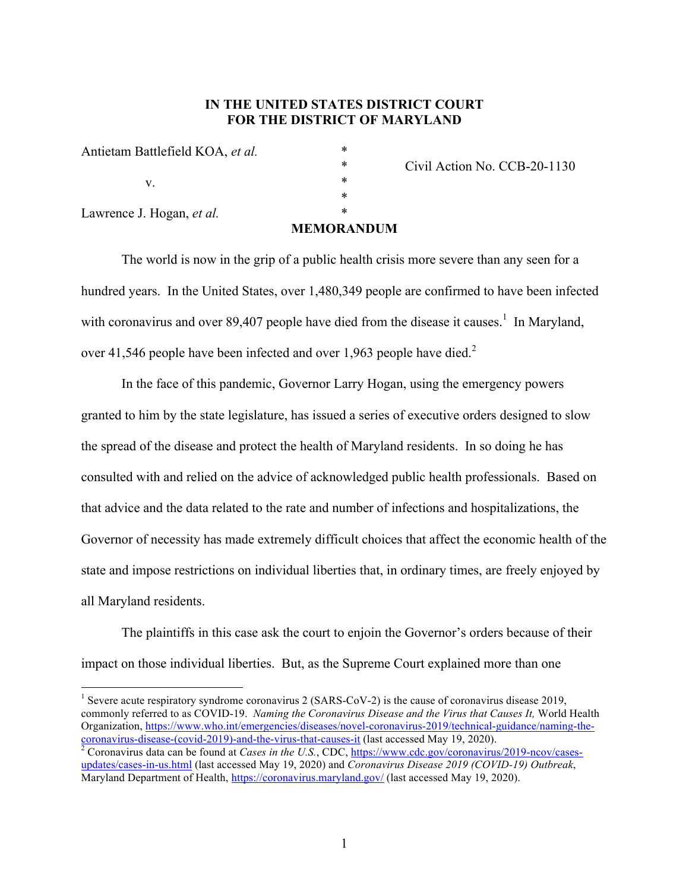# **IN THE UNITED STATES DISTRICT COURT FOR THE DISTRICT OF MARYLAND**

|                                  | мемаћ |
|----------------------------------|-------|
| Lawrence J. Hogan, et al.        | *     |
|                                  | *     |
| V.                               | *     |
|                                  | *     |
| Antietam Battlefield KOA, et al. | *     |

\* Civil Action No. CCB-20-1130

### **MEMORANDUM**

\*

The world is now in the grip of a public health crisis more severe than any seen for a hundred years. In the United States, over 1,480,349 people are confirmed to have been infected with coronavirus and over 89,407 people have died from the disease it causes.<sup>1</sup> In Maryland, over 41,546 people have been infected and over 1,963 people have died.<sup>2</sup>

In the face of this pandemic, Governor Larry Hogan, using the emergency powers granted to him by the state legislature, has issued a series of executive orders designed to slow the spread of the disease and protect the health of Maryland residents. In so doing he has consulted with and relied on the advice of acknowledged public health professionals. Based on that advice and the data related to the rate and number of infections and hospitalizations, the Governor of necessity has made extremely difficult choices that affect the economic health of the state and impose restrictions on individual liberties that, in ordinary times, are freely enjoyed by all Maryland residents.

The plaintiffs in this case ask the court to enjoin the Governor's orders because of their impact on those individual liberties. But, as the Supreme Court explained more than one

<sup>1</sup> Severe acute respiratory syndrome coronavirus 2 (SARS-CoV-2) is the cause of coronavirus disease 2019, commonly referred to as COVID-19. *Naming the Coronavirus Disease and the Virus that Causes It, World Health* Organization, https://www.who.int/emergencies/diseases/novel-coronavirus-2019/technical-guidance/naming-the-<br>coronavirus-disease-(covid-2019)-and-the-virus-that-causes-it (last accessed May 19, 2020).

 $\frac{2}{3}$  Coronavirus data can be found at *Cases in the U.S.*, CDC, https://www.cdc.gov/coronavirus/2019-ncov/casesupdates/cases-in-us.html (last accessed May 19, 2020) and *Coronavirus Disease 2019 (COVID-19) Outbreak*, Maryland Department of Health, https://coronavirus.maryland.gov/ (last accessed May 19, 2020).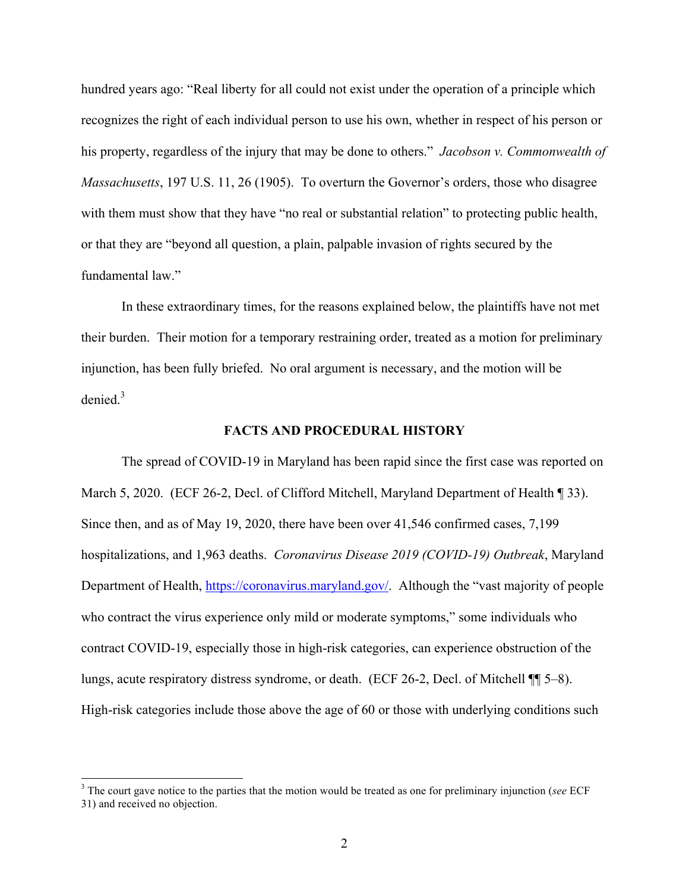hundred years ago: "Real liberty for all could not exist under the operation of a principle which recognizes the right of each individual person to use his own, whether in respect of his person or his property, regardless of the injury that may be done to others." *Jacobson v. Commonwealth of Massachusetts*, 197 U.S. 11, 26 (1905). To overturn the Governor's orders, those who disagree with them must show that they have "no real or substantial relation" to protecting public health, or that they are "beyond all question, a plain, palpable invasion of rights secured by the fundamental law."

In these extraordinary times, for the reasons explained below, the plaintiffs have not met their burden. Their motion for a temporary restraining order, treated as a motion for preliminary injunction, has been fully briefed. No oral argument is necessary, and the motion will be denied.<sup>3</sup>

### **FACTS AND PROCEDURAL HISTORY**

The spread of COVID-19 in Maryland has been rapid since the first case was reported on March 5, 2020. (ECF 26-2, Decl. of Clifford Mitchell, Maryland Department of Health ¶ 33). Since then, and as of May 19, 2020, there have been over 41,546 confirmed cases, 7,199 hospitalizations, and 1,963 deaths. *Coronavirus Disease 2019 (COVID-19) Outbreak*, Maryland Department of Health, https://coronavirus.maryland.gov/. Although the "vast majority of people who contract the virus experience only mild or moderate symptoms," some individuals who contract COVID-19, especially those in high-risk categories, can experience obstruction of the lungs, acute respiratory distress syndrome, or death. (ECF 26-2, Decl. of Mitchell ¶¶ 5–8). High-risk categories include those above the age of 60 or those with underlying conditions such

 <sup>3</sup> The court gave notice to the parties that the motion would be treated as one for preliminary injunction (*see* ECF 31) and received no objection.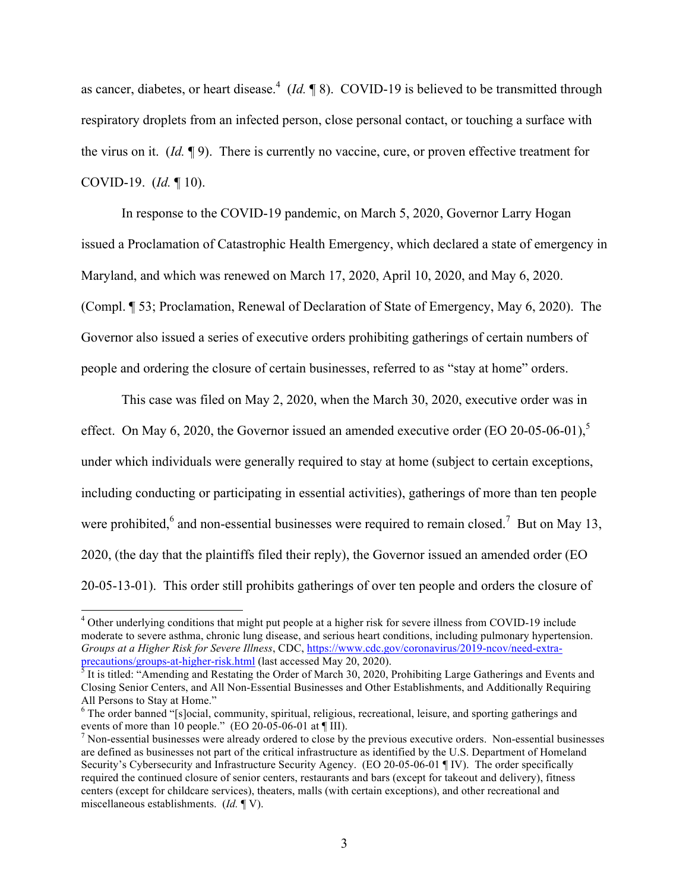as cancer, diabetes, or heart disease.<sup>4</sup> (*Id.*  $\P$  8). COVID-19 is believed to be transmitted through respiratory droplets from an infected person, close personal contact, or touching a surface with the virus on it. (*Id.* ¶ 9). There is currently no vaccine, cure, or proven effective treatment for COVID-19. (*Id.* ¶ 10).

In response to the COVID-19 pandemic, on March 5, 2020, Governor Larry Hogan issued a Proclamation of Catastrophic Health Emergency, which declared a state of emergency in Maryland, and which was renewed on March 17, 2020, April 10, 2020, and May 6, 2020. (Compl. ¶ 53; Proclamation, Renewal of Declaration of State of Emergency, May 6, 2020). The Governor also issued a series of executive orders prohibiting gatherings of certain numbers of people and ordering the closure of certain businesses, referred to as "stay at home" orders.

This case was filed on May 2, 2020, when the March 30, 2020, executive order was in effect. On May 6, 2020, the Governor issued an amended executive order (EO 20-05-06-01),<sup>5</sup> under which individuals were generally required to stay at home (subject to certain exceptions, including conducting or participating in essential activities), gatherings of more than ten people were prohibited,  $6$  and non-essential businesses were required to remain closed.<sup>7</sup> But on May 13, 2020, (the day that the plaintiffs filed their reply), the Governor issued an amended order (EO 20-05-13-01). This order still prohibits gatherings of over ten people and orders the closure of

<sup>&</sup>lt;sup>4</sup> Other underlying conditions that might put people at a higher risk for severe illness from COVID-19 include moderate to severe asthma, chronic lung disease, and serious heart conditions, including pulmonary hypertension. *Groups at a Higher Risk for Severe Illness*, CDC, https://www.cdc.gov/coronavirus/2019-ncov/need-extraprecautions/groups-at-higher-risk.html (last accessed May 20, 2020).

<sup>&</sup>lt;sup>3</sup> It is titled: "Amending and Restating the Order of March 30, 2020, Prohibiting Large Gatherings and Events and Closing Senior Centers, and All Non-Essential Businesses and Other Establishments, and Additionally Requiring All Persons to Stay at Home."

<sup>6</sup> The order banned "[s]ocial, community, spiritual, religious, recreational, leisure, and sporting gatherings and events of more than 10 people." (EO 20-05-06-01 at ¶ III).

 $\frac{1}{2}$  Non-essential businesses were already ordered to close by the previous executive orders. Non-essential businesses are defined as businesses not part of the critical infrastructure as identified by the U.S. Department of Homeland Security's Cybersecurity and Infrastructure Security Agency. (EO 20-05-06-01 ¶ IV). The order specifically required the continued closure of senior centers, restaurants and bars (except for takeout and delivery), fitness centers (except for childcare services), theaters, malls (with certain exceptions), and other recreational and miscellaneous establishments. (*Id.* ¶ V).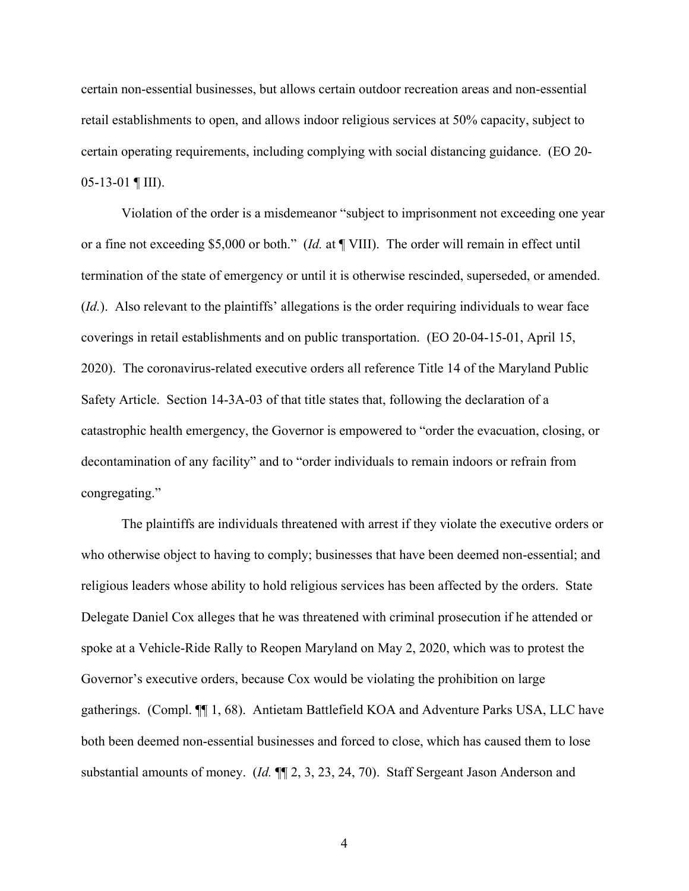certain non-essential businesses, but allows certain outdoor recreation areas and non-essential retail establishments to open, and allows indoor religious services at 50% capacity, subject to certain operating requirements, including complying with social distancing guidance. (EO 20- 05-13-01 ¶ III).

Violation of the order is a misdemeanor "subject to imprisonment not exceeding one year or a fine not exceeding \$5,000 or both." (*Id.* at ¶ VIII). The order will remain in effect until termination of the state of emergency or until it is otherwise rescinded, superseded, or amended. (*Id.*). Also relevant to the plaintiffs' allegations is the order requiring individuals to wear face coverings in retail establishments and on public transportation. (EO 20-04-15-01, April 15, 2020). The coronavirus-related executive orders all reference Title 14 of the Maryland Public Safety Article. Section 14-3A-03 of that title states that, following the declaration of a catastrophic health emergency, the Governor is empowered to "order the evacuation, closing, or decontamination of any facility" and to "order individuals to remain indoors or refrain from congregating."

The plaintiffs are individuals threatened with arrest if they violate the executive orders or who otherwise object to having to comply; businesses that have been deemed non-essential; and religious leaders whose ability to hold religious services has been affected by the orders. State Delegate Daniel Cox alleges that he was threatened with criminal prosecution if he attended or spoke at a Vehicle-Ride Rally to Reopen Maryland on May 2, 2020, which was to protest the Governor's executive orders, because Cox would be violating the prohibition on large gatherings. (Compl. ¶¶ 1, 68). Antietam Battlefield KOA and Adventure Parks USA, LLC have both been deemed non-essential businesses and forced to close, which has caused them to lose substantial amounts of money. (*Id.* ¶¶ 2, 3, 23, 24, 70). Staff Sergeant Jason Anderson and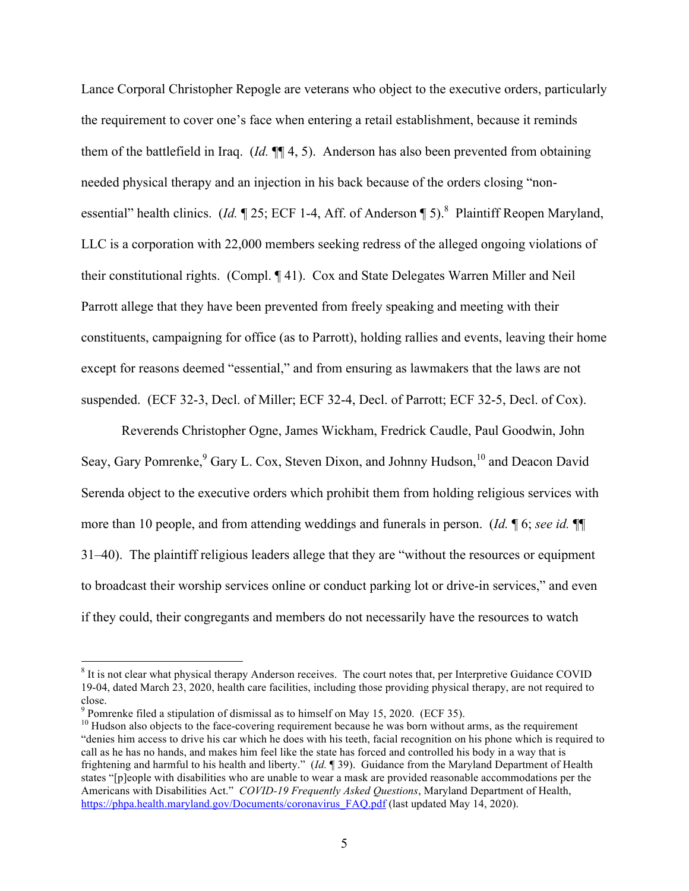Lance Corporal Christopher Repogle are veterans who object to the executive orders, particularly the requirement to cover one's face when entering a retail establishment, because it reminds them of the battlefield in Iraq. (*Id.* ¶¶ 4, 5). Anderson has also been prevented from obtaining needed physical therapy and an injection in his back because of the orders closing "nonessential" health clinics. (*Id.* 125; ECF 1-4, Aff. of Anderson 15).<sup>8</sup> Plaintiff Reopen Maryland, LLC is a corporation with 22,000 members seeking redress of the alleged ongoing violations of their constitutional rights. (Compl. ¶ 41). Cox and State Delegates Warren Miller and Neil Parrott allege that they have been prevented from freely speaking and meeting with their constituents, campaigning for office (as to Parrott), holding rallies and events, leaving their home except for reasons deemed "essential," and from ensuring as lawmakers that the laws are not suspended. (ECF 32-3, Decl. of Miller; ECF 32-4, Decl. of Parrott; ECF 32-5, Decl. of Cox).

Reverends Christopher Ogne, James Wickham, Fredrick Caudle, Paul Goodwin, John Seay, Gary Pomrenke, <sup>9</sup> Gary L. Cox, Steven Dixon, and Johnny Hudson, <sup>10</sup> and Deacon David Serenda object to the executive orders which prohibit them from holding religious services with more than 10 people, and from attending weddings and funerals in person. (*Id.* ¶ 6; *see id.* ¶¶ 31–40). The plaintiff religious leaders allege that they are "without the resources or equipment to broadcast their worship services online or conduct parking lot or drive-in services," and even if they could, their congregants and members do not necessarily have the resources to watch

<sup>&</sup>lt;sup>8</sup> It is not clear what physical therapy Anderson receives. The court notes that, per Interpretive Guidance COVID 19-04, dated March 23, 2020, health care facilities, including those providing physical therapy, are not required to close.

 $9$  Pomrenke filed a stipulation of dismissal as to himself on May 15, 2020. (ECF 35).

 $10$  Hudson also objects to the face-covering requirement because he was born without arms, as the requirement "denies him access to drive his car which he does with his teeth, facial recognition on his phone which is required to call as he has no hands, and makes him feel like the state has forced and controlled his body in a way that is frightening and harmful to his health and liberty." (*Id.* ¶ 39). Guidance from the Maryland Department of Health states "[p]eople with disabilities who are unable to wear a mask are provided reasonable accommodations per the Americans with Disabilities Act." *COVID-19 Frequently Asked Questions*, Maryland Department of Health, https://phpa.health.maryland.gov/Documents/coronavirus FAQ.pdf (last updated May 14, 2020).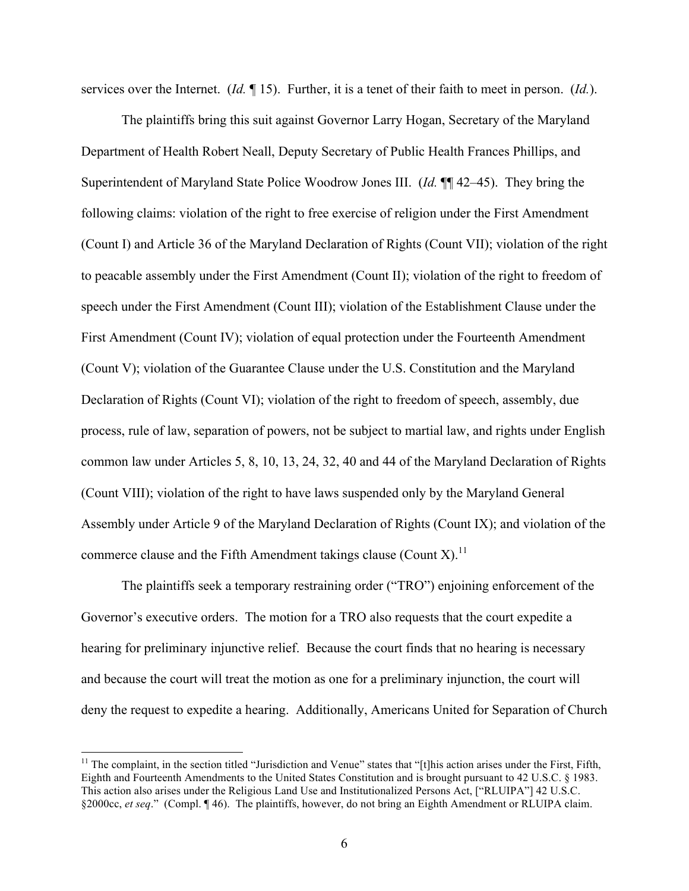services over the Internet. (*Id.* ¶ 15). Further, it is a tenet of their faith to meet in person. (*Id.*).

The plaintiffs bring this suit against Governor Larry Hogan, Secretary of the Maryland Department of Health Robert Neall, Deputy Secretary of Public Health Frances Phillips, and Superintendent of Maryland State Police Woodrow Jones III. (*Id.* ¶¶ 42–45). They bring the following claims: violation of the right to free exercise of religion under the First Amendment (Count I) and Article 36 of the Maryland Declaration of Rights (Count VII); violation of the right to peacable assembly under the First Amendment (Count II); violation of the right to freedom of speech under the First Amendment (Count III); violation of the Establishment Clause under the First Amendment (Count IV); violation of equal protection under the Fourteenth Amendment (Count V); violation of the Guarantee Clause under the U.S. Constitution and the Maryland Declaration of Rights (Count VI); violation of the right to freedom of speech, assembly, due process, rule of law, separation of powers, not be subject to martial law, and rights under English common law under Articles 5, 8, 10, 13, 24, 32, 40 and 44 of the Maryland Declaration of Rights (Count VIII); violation of the right to have laws suspended only by the Maryland General Assembly under Article 9 of the Maryland Declaration of Rights (Count IX); and violation of the commerce clause and the Fifth Amendment takings clause (Count X).<sup>11</sup>

The plaintiffs seek a temporary restraining order ("TRO") enjoining enforcement of the Governor's executive orders. The motion for a TRO also requests that the court expedite a hearing for preliminary injunctive relief. Because the court finds that no hearing is necessary and because the court will treat the motion as one for a preliminary injunction, the court will deny the request to expedite a hearing. Additionally, Americans United for Separation of Church

 $11$  The complaint, in the section titled "Jurisdiction and Venue" states that "[t]his action arises under the First, Fifth, Eighth and Fourteenth Amendments to the United States Constitution and is brought pursuant to 42 U.S.C. § 1983. This action also arises under the Religious Land Use and Institutionalized Persons Act, ["RLUIPA"] 42 U.S.C. §2000cc, *et seq*." (Compl. ¶ 46). The plaintiffs, however, do not bring an Eighth Amendment or RLUIPA claim.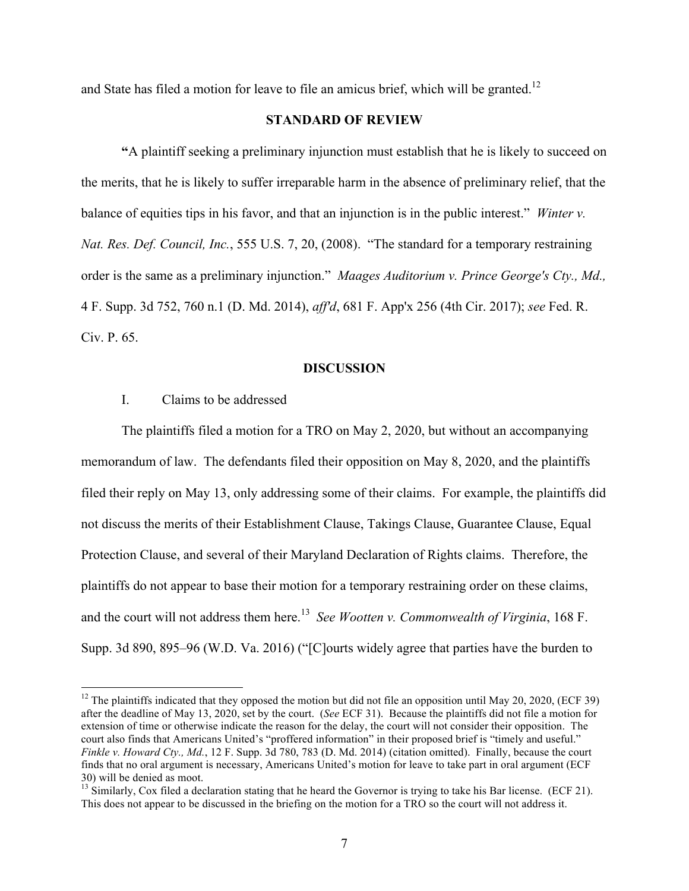and State has filed a motion for leave to file an amicus brief, which will be granted.<sup>12</sup>

# **STANDARD OF REVIEW**

**"**A plaintiff seeking a preliminary injunction must establish that he is likely to succeed on the merits, that he is likely to suffer irreparable harm in the absence of preliminary relief, that the balance of equities tips in his favor, and that an injunction is in the public interest." *Winter v. Nat. Res. Def. Council, Inc.*, 555 U.S. 7, 20, (2008). "The standard for a temporary restraining order is the same as a preliminary injunction." *Maages Auditorium v. Prince George's Cty., Md.,* 4 F. Supp. 3d 752, 760 n.1 (D. Md. 2014), *aff'd*, 681 F. App'x 256 (4th Cir. 2017); *see* Fed. R. Civ. P. 65.

#### **DISCUSSION**

## I. Claims to be addressed

The plaintiffs filed a motion for a TRO on May 2, 2020, but without an accompanying memorandum of law. The defendants filed their opposition on May 8, 2020, and the plaintiffs filed their reply on May 13, only addressing some of their claims. For example, the plaintiffs did not discuss the merits of their Establishment Clause, Takings Clause, Guarantee Clause, Equal Protection Clause, and several of their Maryland Declaration of Rights claims. Therefore, the plaintiffs do not appear to base their motion for a temporary restraining order on these claims, and the court will not address them here. 13 *See Wootten v. Commonwealth of Virginia*, 168 F. Supp. 3d 890, 895–96 (W.D. Va. 2016) ("[C]ourts widely agree that parties have the burden to

<sup>&</sup>lt;sup>12</sup> The plaintiffs indicated that they opposed the motion but did not file an opposition until May 20, 2020, (ECF 39) after the deadline of May 13, 2020, set by the court. (*See* ECF 31). Because the plaintiffs did not file a motion for extension of time or otherwise indicate the reason for the delay, the court will not consider their opposition. The court also finds that Americans United's "proffered information" in their proposed brief is "timely and useful." *Finkle v. Howard Cty., Md.*, 12 F. Supp. 3d 780, 783 (D. Md. 2014) (citation omitted). Finally, because the court finds that no oral argument is necessary, Americans United's motion for leave to take part in oral argument (ECF 30) will be denied as moot.

 $13$  Similarly, Cox filed a declaration stating that he heard the Governor is trying to take his Bar license. (ECF 21). This does not appear to be discussed in the briefing on the motion for a TRO so the court will not address it.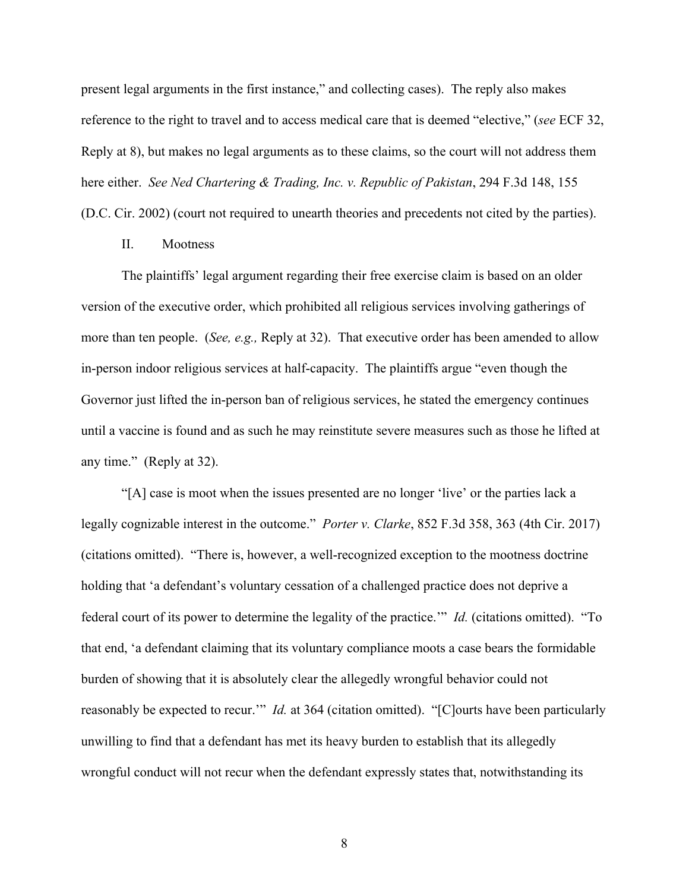present legal arguments in the first instance," and collecting cases). The reply also makes reference to the right to travel and to access medical care that is deemed "elective," (*see* ECF 32, Reply at 8), but makes no legal arguments as to these claims, so the court will not address them here either. *See Ned Chartering & Trading, Inc. v. Republic of Pakistan*, 294 F.3d 148, 155 (D.C. Cir. 2002) (court not required to unearth theories and precedents not cited by the parties).

# II. Mootness

The plaintiffs' legal argument regarding their free exercise claim is based on an older version of the executive order, which prohibited all religious services involving gatherings of more than ten people. (*See, e.g.,* Reply at 32). That executive order has been amended to allow in-person indoor religious services at half-capacity. The plaintiffs argue "even though the Governor just lifted the in-person ban of religious services, he stated the emergency continues until a vaccine is found and as such he may reinstitute severe measures such as those he lifted at any time." (Reply at 32).

"[A] case is moot when the issues presented are no longer 'live' or the parties lack a legally cognizable interest in the outcome." *Porter v. Clarke*, 852 F.3d 358, 363 (4th Cir. 2017) (citations omitted). "There is, however, a well-recognized exception to the mootness doctrine holding that 'a defendant's voluntary cessation of a challenged practice does not deprive a federal court of its power to determine the legality of the practice.'" *Id.* (citations omitted). "To that end, 'a defendant claiming that its voluntary compliance moots a case bears the formidable burden of showing that it is absolutely clear the allegedly wrongful behavior could not reasonably be expected to recur.'" *Id.* at 364 (citation omitted). "[C]ourts have been particularly unwilling to find that a defendant has met its heavy burden to establish that its allegedly wrongful conduct will not recur when the defendant expressly states that, notwithstanding its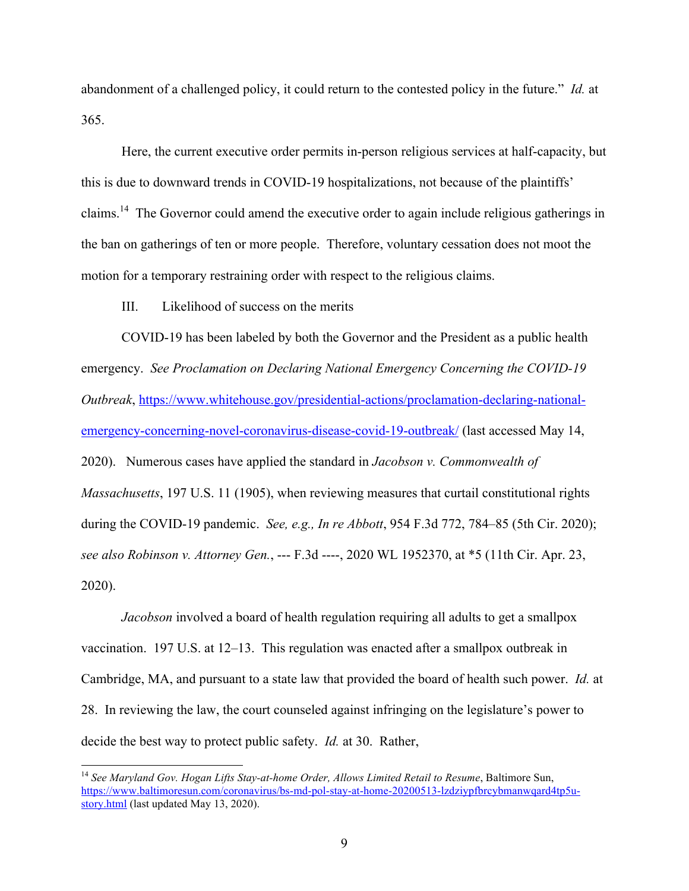abandonment of a challenged policy, it could return to the contested policy in the future." *Id.* at 365.

Here, the current executive order permits in-person religious services at half-capacity, but this is due to downward trends in COVID-19 hospitalizations, not because of the plaintiffs' claims.<sup>14</sup> The Governor could amend the executive order to again include religious gatherings in the ban on gatherings of ten or more people. Therefore, voluntary cessation does not moot the motion for a temporary restraining order with respect to the religious claims.

III. Likelihood of success on the merits

COVID-19 has been labeled by both the Governor and the President as a public health emergency. *See Proclamation on Declaring National Emergency Concerning the COVID-19 Outbreak*, https://www.whitehouse.gov/presidential-actions/proclamation-declaring-nationalemergency-concerning-novel-coronavirus-disease-covid-19-outbreak/ (last accessed May 14, 2020). Numerous cases have applied the standard in *Jacobson v. Commonwealth of Massachusetts*, 197 U.S. 11 (1905), when reviewing measures that curtail constitutional rights during the COVID-19 pandemic. *See, e.g., In re Abbott*, 954 F.3d 772, 784–85 (5th Cir. 2020); *see also Robinson v. Attorney Gen.*, --- F.3d ----, 2020 WL 1952370, at \*5 (11th Cir. Apr. 23, 2020).

*Jacobson* involved a board of health regulation requiring all adults to get a smallpox vaccination. 197 U.S. at 12–13. This regulation was enacted after a smallpox outbreak in Cambridge, MA, and pursuant to a state law that provided the board of health such power. *Id.* at 28. In reviewing the law, the court counseled against infringing on the legislature's power to decide the best way to protect public safety. *Id.* at 30. Rather,

<sup>&</sup>lt;sup>14</sup> See Maryland Gov. Hogan Lifts Stay-at-home Order, Allows Limited Retail to Resume, Baltimore Sun, https://www.baltimoresun.com/coronavirus/bs-md-pol-stay-at-home-20200513-lzdziypfbrcybmanwqard4tp5ustory.html (last updated May 13, 2020).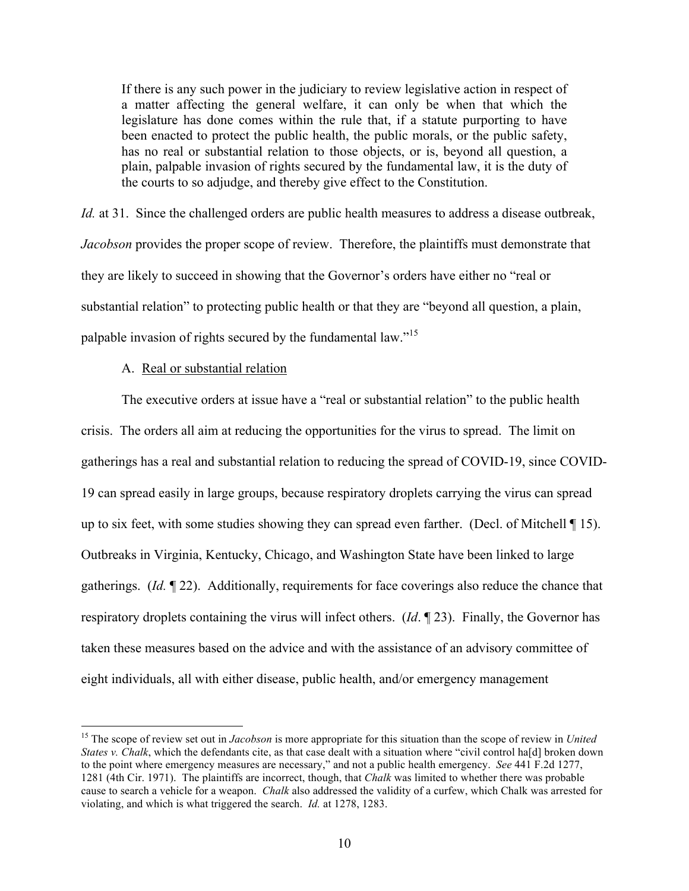If there is any such power in the judiciary to review legislative action in respect of a matter affecting the general welfare, it can only be when that which the legislature has done comes within the rule that, if a statute purporting to have been enacted to protect the public health, the public morals, or the public safety, has no real or substantial relation to those objects, or is, beyond all question, a plain, palpable invasion of rights secured by the fundamental law, it is the duty of the courts to so adjudge, and thereby give effect to the Constitution.

*Id.* at 31. Since the challenged orders are public health measures to address a disease outbreak, *Jacobson* provides the proper scope of review. Therefore, the plaintiffs must demonstrate that they are likely to succeed in showing that the Governor's orders have either no "real or substantial relation" to protecting public health or that they are "beyond all question, a plain, palpable invasion of rights secured by the fundamental law."<sup>15</sup>

### A. Real or substantial relation

The executive orders at issue have a "real or substantial relation" to the public health crisis. The orders all aim at reducing the opportunities for the virus to spread. The limit on gatherings has a real and substantial relation to reducing the spread of COVID-19, since COVID-19 can spread easily in large groups, because respiratory droplets carrying the virus can spread up to six feet, with some studies showing they can spread even farther. (Decl. of Mitchell ¶ 15). Outbreaks in Virginia, Kentucky, Chicago, and Washington State have been linked to large gatherings. (*Id.* ¶ 22). Additionally, requirements for face coverings also reduce the chance that respiratory droplets containing the virus will infect others. (*Id*. ¶ 23). Finally, the Governor has taken these measures based on the advice and with the assistance of an advisory committee of eight individuals, all with either disease, public health, and/or emergency management

 15 The scope of review set out in *Jacobson* is more appropriate for this situation than the scope of review in *United States v. Chalk*, which the defendants cite, as that case dealt with a situation where "civil control ha[d] broken down to the point where emergency measures are necessary," and not a public health emergency. *See* 441 F.2d 1277, 1281 (4th Cir. 1971). The plaintiffs are incorrect, though, that *Chalk* was limited to whether there was probable cause to search a vehicle for a weapon. *Chalk* also addressed the validity of a curfew, which Chalk was arrested for violating, and which is what triggered the search. *Id.* at 1278, 1283.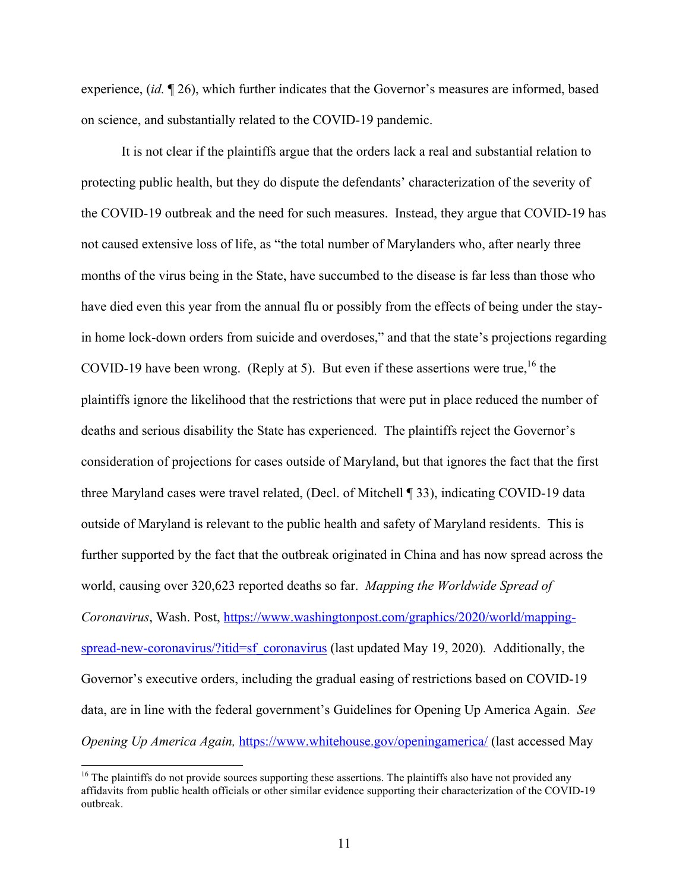experience, (*id.* ¶ 26), which further indicates that the Governor's measures are informed, based on science, and substantially related to the COVID-19 pandemic.

It is not clear if the plaintiffs argue that the orders lack a real and substantial relation to protecting public health, but they do dispute the defendants' characterization of the severity of the COVID-19 outbreak and the need for such measures. Instead, they argue that COVID-19 has not caused extensive loss of life, as "the total number of Marylanders who, after nearly three months of the virus being in the State, have succumbed to the disease is far less than those who have died even this year from the annual flu or possibly from the effects of being under the stayin home lock-down orders from suicide and overdoses," and that the state's projections regarding COVID-19 have been wrong. (Reply at 5). But even if these assertions were true,  $^{16}$  the plaintiffs ignore the likelihood that the restrictions that were put in place reduced the number of deaths and serious disability the State has experienced. The plaintiffs reject the Governor's consideration of projections for cases outside of Maryland, but that ignores the fact that the first three Maryland cases were travel related, (Decl. of Mitchell ¶ 33), indicating COVID-19 data outside of Maryland is relevant to the public health and safety of Maryland residents. This is further supported by the fact that the outbreak originated in China and has now spread across the world, causing over 320,623 reported deaths so far. *Mapping the Worldwide Spread of Coronavirus*, Wash. Post, https://www.washingtonpost.com/graphics/2020/world/mappingspread-new-coronavirus/?itid=sf\_coronavirus (last updated May 19, 2020). Additionally, the Governor's executive orders, including the gradual easing of restrictions based on COVID-19 data, are in line with the federal government's Guidelines for Opening Up America Again. *See Opening Up America Again,* https://www.whitehouse.gov/openingamerica/ (last accessed May

<sup>&</sup>lt;sup>16</sup> The plaintiffs do not provide sources supporting these assertions. The plaintiffs also have not provided any affidavits from public health officials or other similar evidence supporting their characterization of the COVID-19 outbreak.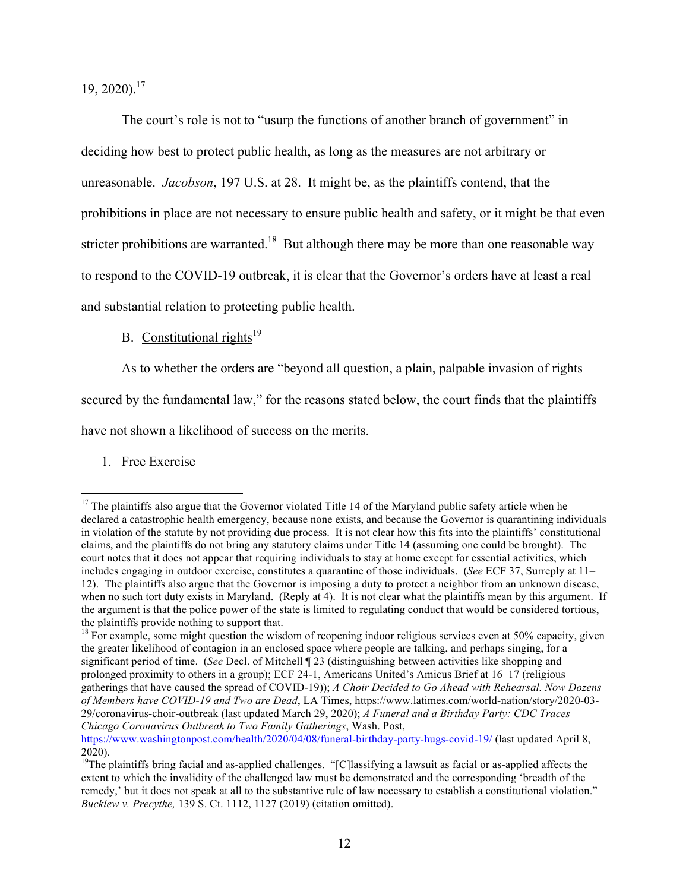19, 2020). 17

The court's role is not to "usurp the functions of another branch of government" in deciding how best to protect public health, as long as the measures are not arbitrary or unreasonable. *Jacobson*, 197 U.S. at 28. It might be, as the plaintiffs contend, that the prohibitions in place are not necessary to ensure public health and safety, or it might be that even stricter prohibitions are warranted.<sup>18</sup> But although there may be more than one reasonable way to respond to the COVID-19 outbreak, it is clear that the Governor's orders have at least a real and substantial relation to protecting public health.

B. Constitutional rights<sup>19</sup>

As to whether the orders are "beyond all question, a plain, palpable invasion of rights

secured by the fundamental law," for the reasons stated below, the court finds that the plaintiffs

have not shown a likelihood of success on the merits.

1. Free Exercise

https://www.washingtonpost.com/health/2020/04/08/funeral-birthday-party-hugs-covid-19/ (last updated April 8, 2020).

<sup>&</sup>lt;sup>17</sup> The plaintiffs also argue that the Governor violated Title 14 of the Maryland public safety article when he declared a catastrophic health emergency, because none exists, and because the Governor is quarantining individuals in violation of the statute by not providing due process. It is not clear how this fits into the plaintiffs' constitutional claims, and the plaintiffs do not bring any statutory claims under Title 14 (assuming one could be brought). The court notes that it does not appear that requiring individuals to stay at home except for essential activities, which includes engaging in outdoor exercise, constitutes a quarantine of those individuals. (*See* ECF 37, Surreply at 11– 12). The plaintiffs also argue that the Governor is imposing a duty to protect a neighbor from an unknown disease, when no such tort duty exists in Maryland. (Reply at 4). It is not clear what the plaintiffs mean by this argument. If the argument is that the police power of the state is limited to regulating conduct that would be considered tortious, the plaintiffs provide nothing to support that.

<sup>&</sup>lt;sup>18</sup> For example, some might question the wisdom of reopening indoor religious services even at 50% capacity, given the greater likelihood of contagion in an enclosed space where people are talking, and perhaps singing, for a significant period of time. (*See* Decl. of Mitchell ¶ 23 (distinguishing between activities like shopping and prolonged proximity to others in a group); ECF 24-1, Americans United's Amicus Brief at 16–17 (religious gatherings that have caused the spread of COVID-19)); *A Choir Decided to Go Ahead with Rehearsal. Now Dozens of Members have COVID-19 and Two are Dead*, LA Times, https://www.latimes.com/world-nation/story/2020-03- 29/coronavirus-choir-outbreak (last updated March 29, 2020); *A Funeral and a Birthday Party: CDC Traces Chicago Coronavirus Outbreak to Two Family Gatherings*, Wash. Post,

<sup>&</sup>lt;sup>19</sup>The plaintiffs bring facial and as-applied challenges. "[C]lassifying a lawsuit as facial or as-applied affects the extent to which the invalidity of the challenged law must be demonstrated and the corresponding 'breadth of the remedy,' but it does not speak at all to the substantive rule of law necessary to establish a constitutional violation." *Bucklew v. Precythe,* 139 S. Ct. 1112, 1127 (2019) (citation omitted).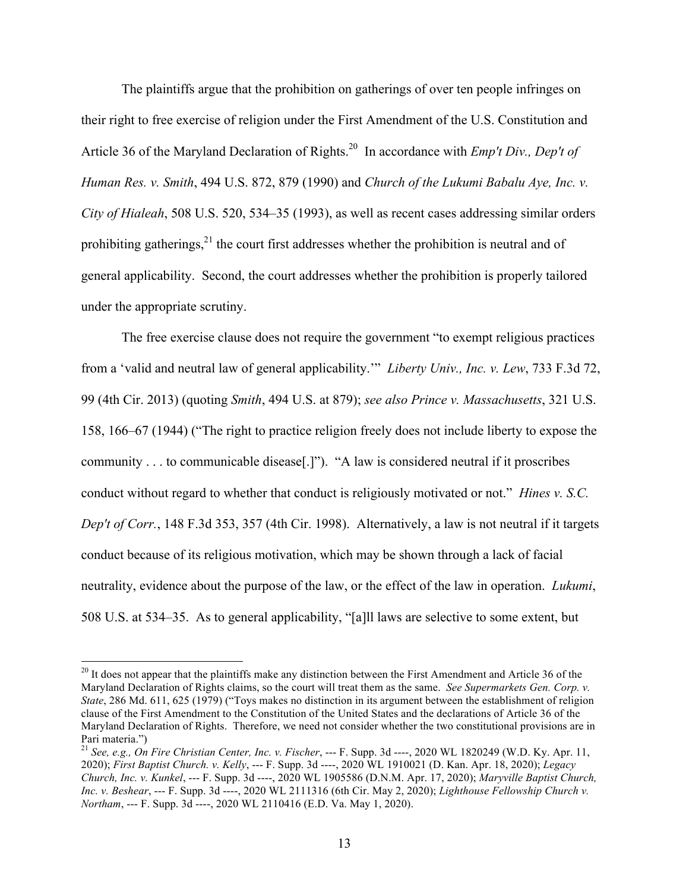The plaintiffs argue that the prohibition on gatherings of over ten people infringes on their right to free exercise of religion under the First Amendment of the U.S. Constitution and Article 36 of the Maryland Declaration of Rights. <sup>20</sup> In accordance with *Emp't Div., Dep't of Human Res. v. Smith*, 494 U.S. 872, 879 (1990) and *Church of the Lukumi Babalu Aye, Inc. v. City of Hialeah*, 508 U.S. 520, 534–35 (1993), as well as recent cases addressing similar orders prohibiting gatherings, $2<sup>1</sup>$  the court first addresses whether the prohibition is neutral and of general applicability. Second, the court addresses whether the prohibition is properly tailored under the appropriate scrutiny.

The free exercise clause does not require the government "to exempt religious practices from a 'valid and neutral law of general applicability.'" *Liberty Univ., Inc. v. Lew*, 733 F.3d 72, 99 (4th Cir. 2013) (quoting *Smith*, 494 U.S. at 879); *see also Prince v. Massachusetts*, 321 U.S. 158, 166–67 (1944) ("The right to practice religion freely does not include liberty to expose the community . . . to communicable disease[.]"). "A law is considered neutral if it proscribes conduct without regard to whether that conduct is religiously motivated or not." *Hines v. S.C. Dep't of Corr.*, 148 F.3d 353, 357 (4th Cir. 1998). Alternatively, a law is not neutral if it targets conduct because of its religious motivation, which may be shown through a lack of facial neutrality, evidence about the purpose of the law, or the effect of the law in operation. *Lukumi*, 508 U.S. at 534–35. As to general applicability, "[a]ll laws are selective to some extent, but

 $20$  It does not appear that the plaintiffs make any distinction between the First Amendment and Article 36 of the Maryland Declaration of Rights claims, so the court will treat them as the same. *See Supermarkets Gen. Corp. v. State*, 286 Md. 611, 625 (1979) ("Toys makes no distinction in its argument between the establishment of religion clause of the First Amendment to the Constitution of the United States and the declarations of Article 36 of the Maryland Declaration of Rights. Therefore, we need not consider whether the two constitutional provisions are in Pari materia.")

<sup>21</sup> *See, e.g., On Fire Christian Center, Inc. v. Fischer*, --- F. Supp. 3d ----, 2020 WL 1820249 (W.D. Ky. Apr. 11, 2020); *First Baptist Church. v. Kelly*, --- F. Supp. 3d ----, 2020 WL 1910021 (D. Kan. Apr. 18, 2020); *Legacy Church, Inc. v. Kunkel*, --- F. Supp. 3d ----, 2020 WL 1905586 (D.N.M. Apr. 17, 2020); *Maryville Baptist Church, Inc. v. Beshear*, --- F. Supp. 3d ----, 2020 WL 2111316 (6th Cir. May 2, 2020); *Lighthouse Fellowship Church v. Northam*, --- F. Supp. 3d ----, 2020 WL 2110416 (E.D. Va. May 1, 2020).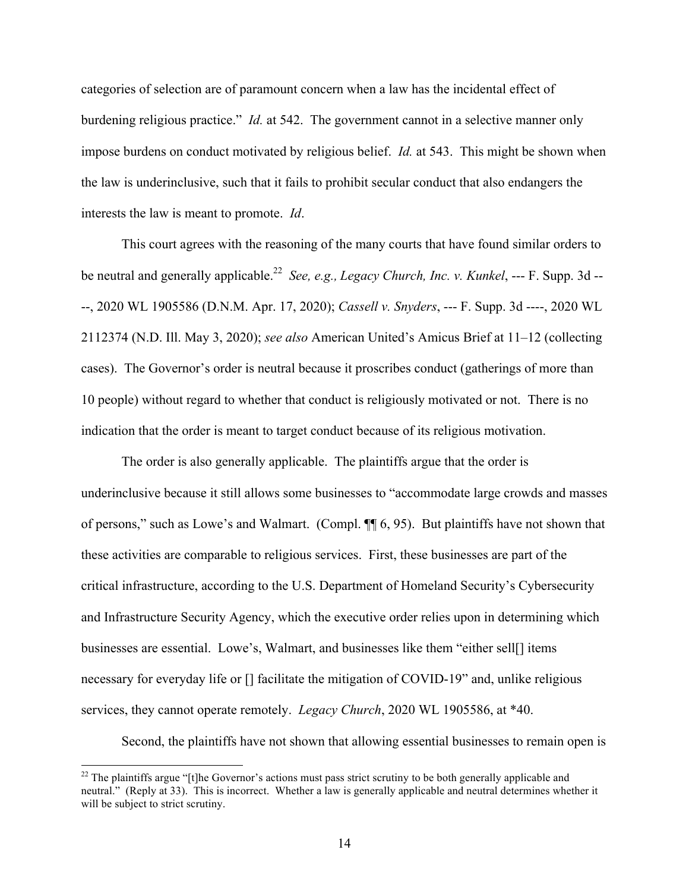categories of selection are of paramount concern when a law has the incidental effect of burdening religious practice." *Id.* at 542. The government cannot in a selective manner only impose burdens on conduct motivated by religious belief. *Id.* at 543. This might be shown when the law is underinclusive, such that it fails to prohibit secular conduct that also endangers the interests the law is meant to promote. *Id*.

This court agrees with the reasoning of the many courts that have found similar orders to be neutral and generally applicable. 22 *See, e.g., Legacy Church, Inc. v. Kunkel*, --- F. Supp. 3d -- --, 2020 WL 1905586 (D.N.M. Apr. 17, 2020); *Cassell v. Snyders*, --- F. Supp. 3d ----, 2020 WL 2112374 (N.D. Ill. May 3, 2020); *see also* American United's Amicus Brief at 11–12 (collecting cases). The Governor's order is neutral because it proscribes conduct (gatherings of more than 10 people) without regard to whether that conduct is religiously motivated or not. There is no indication that the order is meant to target conduct because of its religious motivation.

The order is also generally applicable. The plaintiffs argue that the order is underinclusive because it still allows some businesses to "accommodate large crowds and masses of persons," such as Lowe's and Walmart. (Compl. ¶¶ 6, 95). But plaintiffs have not shown that these activities are comparable to religious services. First, these businesses are part of the critical infrastructure, according to the U.S. Department of Homeland Security's Cybersecurity and Infrastructure Security Agency, which the executive order relies upon in determining which businesses are essential. Lowe's, Walmart, and businesses like them "either sell[] items necessary for everyday life or [] facilitate the mitigation of COVID-19" and, unlike religious services, they cannot operate remotely. *Legacy Church*, 2020 WL 1905586, at \*40.

Second, the plaintiffs have not shown that allowing essential businesses to remain open is

<sup>&</sup>lt;sup>22</sup> The plaintiffs argue "[t]he Governor's actions must pass strict scrutiny to be both generally applicable and neutral." (Reply at 33). This is incorrect. Whether a law is generally applicable and neutral determines whether it will be subject to strict scrutiny.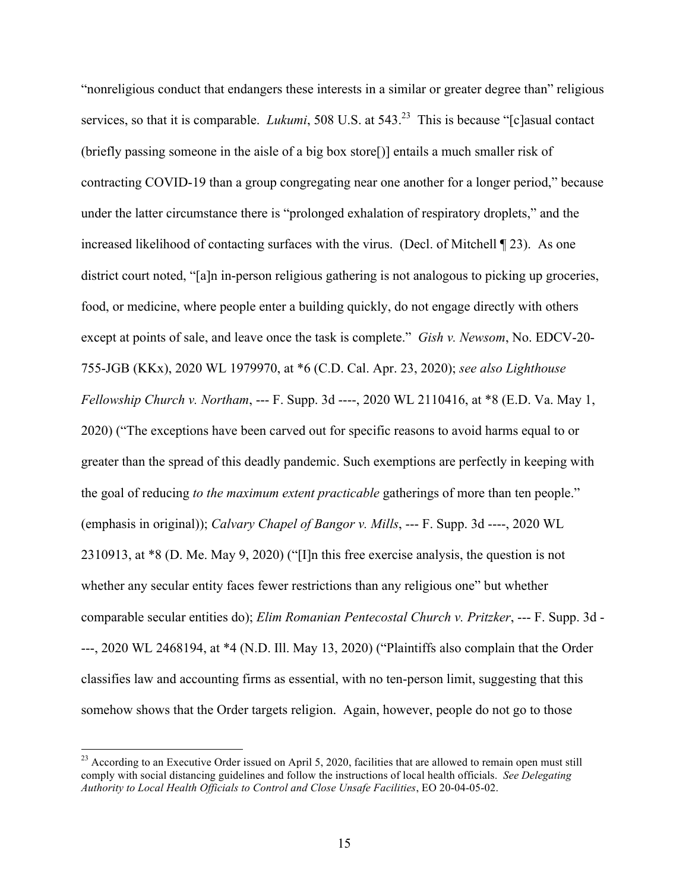"nonreligious conduct that endangers these interests in a similar or greater degree than" religious services, so that it is comparable. *Lukumi*, 508 U.S. at 543. 23 This is because "[c]asual contact (briefly passing someone in the aisle of a big box store[)] entails a much smaller risk of contracting COVID-19 than a group congregating near one another for a longer period," because under the latter circumstance there is "prolonged exhalation of respiratory droplets," and the increased likelihood of contacting surfaces with the virus. (Decl. of Mitchell ¶ 23). As one district court noted, "[a]n in-person religious gathering is not analogous to picking up groceries, food, or medicine, where people enter a building quickly, do not engage directly with others except at points of sale, and leave once the task is complete." *Gish v. Newsom*, No. EDCV-20- 755-JGB (KKx), 2020 WL 1979970, at \*6 (C.D. Cal. Apr. 23, 2020); *see also Lighthouse Fellowship Church v. Northam*, --- F. Supp. 3d ----, 2020 WL 2110416, at \*8 (E.D. Va. May 1, 2020) ("The exceptions have been carved out for specific reasons to avoid harms equal to or greater than the spread of this deadly pandemic. Such exemptions are perfectly in keeping with the goal of reducing *to the maximum extent practicable* gatherings of more than ten people." (emphasis in original)); *Calvary Chapel of Bangor v. Mills*, --- F. Supp. 3d ----, 2020 WL 2310913, at \*8 (D. Me. May 9, 2020) ("[I]n this free exercise analysis, the question is not whether any secular entity faces fewer restrictions than any religious one" but whether comparable secular entities do); *Elim Romanian Pentecostal Church v. Pritzker*, --- F. Supp. 3d - ---, 2020 WL 2468194, at \*4 (N.D. Ill. May 13, 2020) ("Plaintiffs also complain that the Order classifies law and accounting firms as essential, with no ten-person limit, suggesting that this somehow shows that the Order targets religion. Again, however, people do not go to those

 $^{23}$  According to an Executive Order issued on April 5, 2020, facilities that are allowed to remain open must still comply with social distancing guidelines and follow the instructions of local health officials. *See Delegating Authority to Local Health Officials to Control and Close Unsafe Facilities*, EO 20-04-05-02.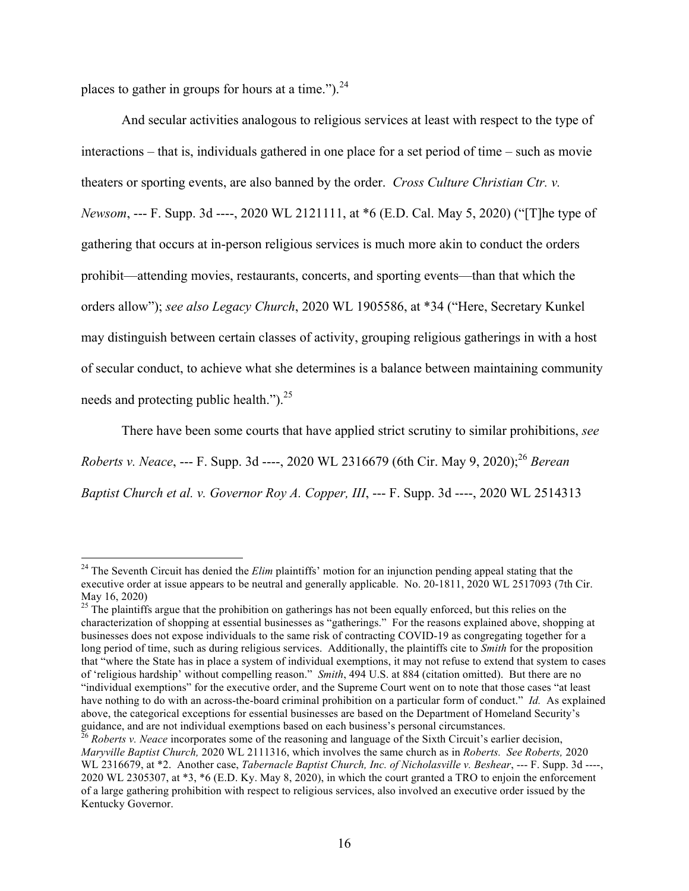places to gather in groups for hours at a time.").  $24$ 

And secular activities analogous to religious services at least with respect to the type of interactions – that is, individuals gathered in one place for a set period of time – such as movie theaters or sporting events, are also banned by the order. *Cross Culture Christian Ctr. v. Newsom*, --- F. Supp. 3d ----, 2020 WL 2121111, at \*6 (E.D. Cal. May 5, 2020) ("[T]he type of gathering that occurs at in-person religious services is much more akin to conduct the orders prohibit—attending movies, restaurants, concerts, and sporting events—than that which the orders allow"); *see also Legacy Church*, 2020 WL 1905586, at \*34 ("Here, Secretary Kunkel may distinguish between certain classes of activity, grouping religious gatherings in with a host of secular conduct, to achieve what she determines is a balance between maintaining community needs and protecting public health." $)^{25}$ 

There have been some courts that have applied strict scrutiny to similar prohibitions, *see Roberts v. Neace*, --- F. Supp. 3d ----, 2020 WL 2316679 (6th Cir. May 9, 2020); <sup>26</sup> *Berean Baptist Church et al. v. Governor Roy A. Copper, III*, --- F. Supp. 3d ----, 2020 WL 2514313

<sup>&</sup>lt;sup>24</sup> The Seventh Circuit has denied the *Elim* plaintiffs' motion for an injunction pending appeal stating that the executive order at issue appears to be neutral and generally applicable. No. 20-1811, 2020 WL 2517093 (7th Cir. May 16, 2020)

<sup>&</sup>lt;sup>25</sup> The plaintiffs argue that the prohibition on gatherings has not been equally enforced, but this relies on the characterization of shopping at essential businesses as "gatherings." For the reasons explained above, shopping at businesses does not expose individuals to the same risk of contracting COVID-19 as congregating together for a long period of time, such as during religious services. Additionally, the plaintiffs cite to *Smith* for the proposition that "where the State has in place a system of individual exemptions, it may not refuse to extend that system to cases of 'religious hardship' without compelling reason." *Smith*, 494 U.S. at 884 (citation omitted). But there are no "individual exemptions" for the executive order, and the Supreme Court went on to note that those cases "at least have nothing to do with an across-the-board criminal prohibition on a particular form of conduct." *Id.* As explained above, the categorical exceptions for essential businesses are based on the Department of Homeland Security's guidance, and are not individual exemptions based on each business's personal circumstances. 26 *Roberts v. Neace* incorporates some of the reasoning and language of the Sixth Circuit's earlier decision,

*Maryville Baptist Church,* 2020 WL 2111316, which involves the same church as in *Roberts. See Roberts,* 2020 WL 2316679, at \*2. Another case, *Tabernacle Baptist Church, Inc. of Nicholasville v. Beshear*, --- F. Supp. 3d ----, 2020 WL 2305307, at \*3, \*6 (E.D. Ky. May 8, 2020), in which the court granted a TRO to enjoin the enforcement of a large gathering prohibition with respect to religious services, also involved an executive order issued by the Kentucky Governor.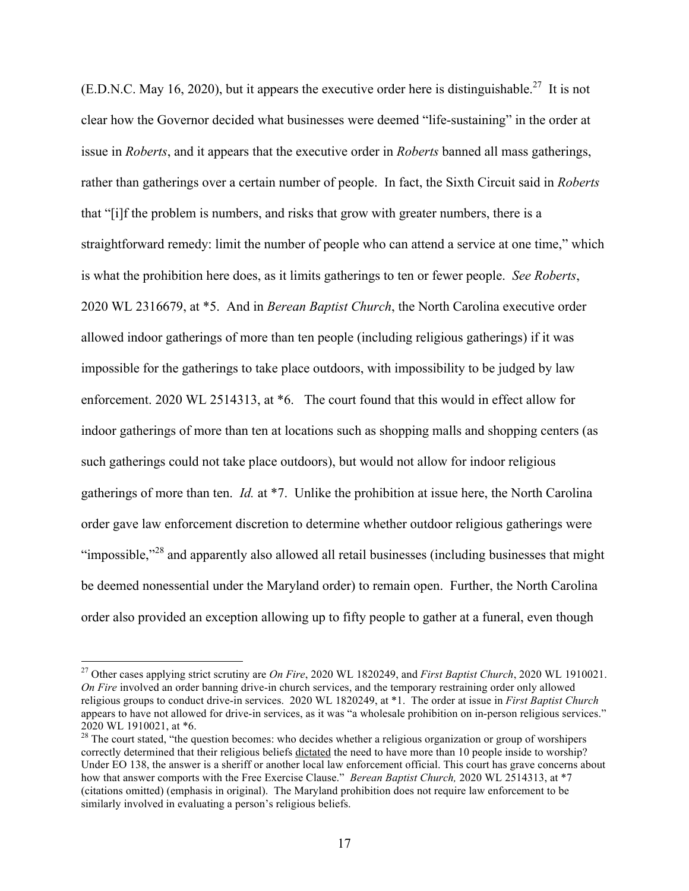(E.D.N.C. May 16, 2020), but it appears the executive order here is distinguishable.<sup>27</sup> It is not clear how the Governor decided what businesses were deemed "life-sustaining" in the order at issue in *Roberts*, and it appears that the executive order in *Roberts* banned all mass gatherings, rather than gatherings over a certain number of people. In fact, the Sixth Circuit said in *Roberts*  that "[i]f the problem is numbers, and risks that grow with greater numbers, there is a straightforward remedy: limit the number of people who can attend a service at one time," which is what the prohibition here does, as it limits gatherings to ten or fewer people. *See Roberts*, 2020 WL 2316679, at \*5. And in *Berean Baptist Church*, the North Carolina executive order allowed indoor gatherings of more than ten people (including religious gatherings) if it was impossible for the gatherings to take place outdoors, with impossibility to be judged by law enforcement. 2020 WL 2514313, at \*6. The court found that this would in effect allow for indoor gatherings of more than ten at locations such as shopping malls and shopping centers (as such gatherings could not take place outdoors), but would not allow for indoor religious gatherings of more than ten. *Id.* at \*7. Unlike the prohibition at issue here, the North Carolina order gave law enforcement discretion to determine whether outdoor religious gatherings were "impossible,"<sup>28</sup> and apparently also allowed all retail businesses (including businesses that might be deemed nonessential under the Maryland order) to remain open. Further, the North Carolina order also provided an exception allowing up to fifty people to gather at a funeral, even though

 27 Other cases applying strict scrutiny are *On Fire*, 2020 WL 1820249, and *First Baptist Church*, 2020 WL 1910021. *On Fire* involved an order banning drive-in church services, and the temporary restraining order only allowed religious groups to conduct drive-in services. 2020 WL 1820249, at \*1. The order at issue in *First Baptist Church* appears to have not allowed for drive-in services, as it was "a wholesale prohibition on in-person religious services." 2020 WL 1910021, at \*6.

<sup>&</sup>lt;sup>28</sup> The court stated, "the question becomes: who decides whether a religious organization or group of worshipers correctly determined that their religious beliefs dictated the need to have more than 10 people inside to worship? Under EO 138, the answer is a sheriff or another local law enforcement official. This court has grave concerns about how that answer comports with the Free Exercise Clause." *Berean Baptist Church,* 2020 WL 2514313, at \*7 (citations omitted) (emphasis in original). The Maryland prohibition does not require law enforcement to be similarly involved in evaluating a person's religious beliefs.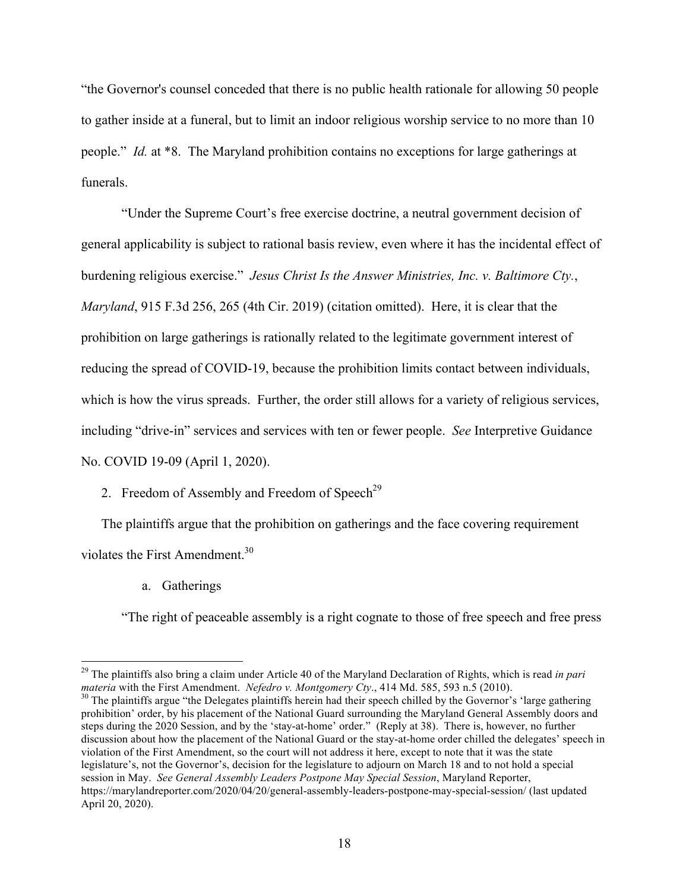"the Governor's counsel conceded that there is no public health rationale for allowing 50 people to gather inside at a funeral, but to limit an indoor religious worship service to no more than 10 people." *Id.* at \*8. The Maryland prohibition contains no exceptions for large gatherings at funerals.

"Under the Supreme Court's free exercise doctrine, a neutral government decision of general applicability is subject to rational basis review, even where it has the incidental effect of burdening religious exercise." *Jesus Christ Is the Answer Ministries, Inc. v. Baltimore Cty.*, *Maryland*, 915 F.3d 256, 265 (4th Cir. 2019) (citation omitted). Here, it is clear that the prohibition on large gatherings is rationally related to the legitimate government interest of reducing the spread of COVID-19, because the prohibition limits contact between individuals, which is how the virus spreads. Further, the order still allows for a variety of religious services, including "drive-in" services and services with ten or fewer people. *See* Interpretive Guidance No. COVID 19-09 (April 1, 2020).

# 2. Freedom of Assembly and Freedom of Speech<sup>29</sup>

The plaintiffs argue that the prohibition on gatherings and the face covering requirement violates the First Amendment.<sup>30</sup>

a. Gatherings

"The right of peaceable assembly is a right cognate to those of free speech and free press

<sup>&</sup>lt;sup>29</sup> The plaintiffs also bring a claim under Article 40 of the Maryland Declaration of Rights, which is read *in pari materia* with the First Amendment. *Nefedro v. Montgomery Cty.*, 414 Md. 585, 593 n.5 (2010).

<sup>&</sup>lt;sup>30</sup> The plaintiffs argue "the Delegates plaintiffs herein had their speech chilled by the Governor's 'large gathering prohibition' order, by his placement of the National Guard surrounding the Maryland General Assembly doors and steps during the 2020 Session, and by the 'stay-at-home' order." (Reply at 38). There is, however, no further discussion about how the placement of the National Guard or the stay-at-home order chilled the delegates' speech in violation of the First Amendment, so the court will not address it here, except to note that it was the state legislature's, not the Governor's, decision for the legislature to adjourn on March 18 and to not hold a special session in May. *See General Assembly Leaders Postpone May Special Session*, Maryland Reporter, https://marylandreporter.com/2020/04/20/general-assembly-leaders-postpone-may-special-session/ (last updated April 20, 2020).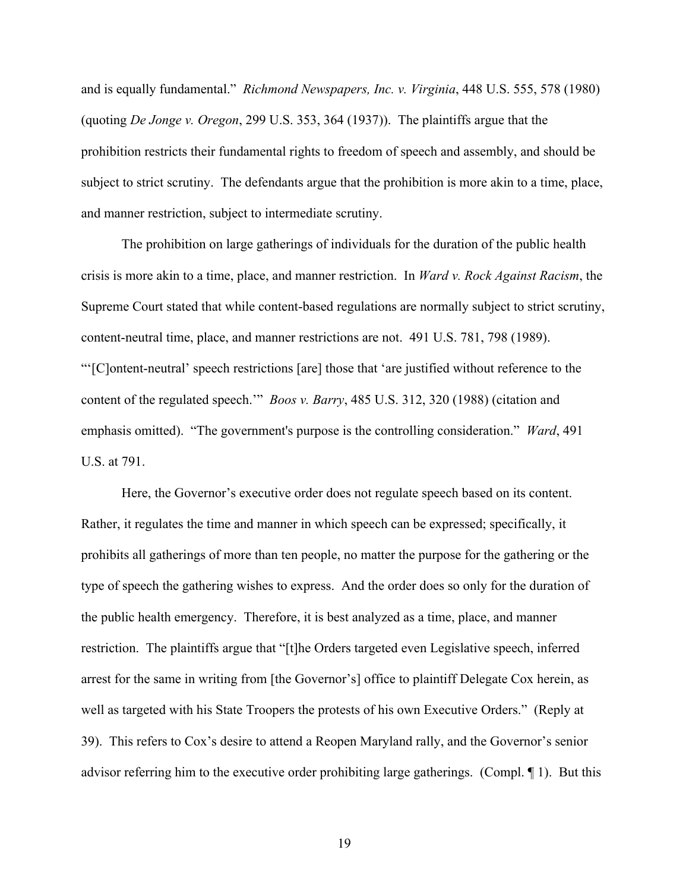and is equally fundamental." *Richmond Newspapers, Inc. v. Virginia*, 448 U.S. 555, 578 (1980) (quoting *De Jonge v. Oregon*, 299 U.S. 353, 364 (1937)). The plaintiffs argue that the prohibition restricts their fundamental rights to freedom of speech and assembly, and should be subject to strict scrutiny. The defendants argue that the prohibition is more akin to a time, place, and manner restriction, subject to intermediate scrutiny.

The prohibition on large gatherings of individuals for the duration of the public health crisis is more akin to a time, place, and manner restriction. In *Ward v. Rock Against Racism*, the Supreme Court stated that while content-based regulations are normally subject to strict scrutiny, content-neutral time, place, and manner restrictions are not. 491 U.S. 781, 798 (1989). "'[C]ontent-neutral' speech restrictions [are] those that 'are justified without reference to the content of the regulated speech.'" *Boos v. Barry*, 485 U.S. 312, 320 (1988) (citation and emphasis omitted). "The government's purpose is the controlling consideration." *Ward*, 491 U.S. at 791.

Here, the Governor's executive order does not regulate speech based on its content. Rather, it regulates the time and manner in which speech can be expressed; specifically, it prohibits all gatherings of more than ten people, no matter the purpose for the gathering or the type of speech the gathering wishes to express. And the order does so only for the duration of the public health emergency. Therefore, it is best analyzed as a time, place, and manner restriction. The plaintiffs argue that "[t]he Orders targeted even Legislative speech, inferred arrest for the same in writing from [the Governor's] office to plaintiff Delegate Cox herein, as well as targeted with his State Troopers the protests of his own Executive Orders." (Reply at 39). This refers to Cox's desire to attend a Reopen Maryland rally, and the Governor's senior advisor referring him to the executive order prohibiting large gatherings. (Compl. ¶ 1). But this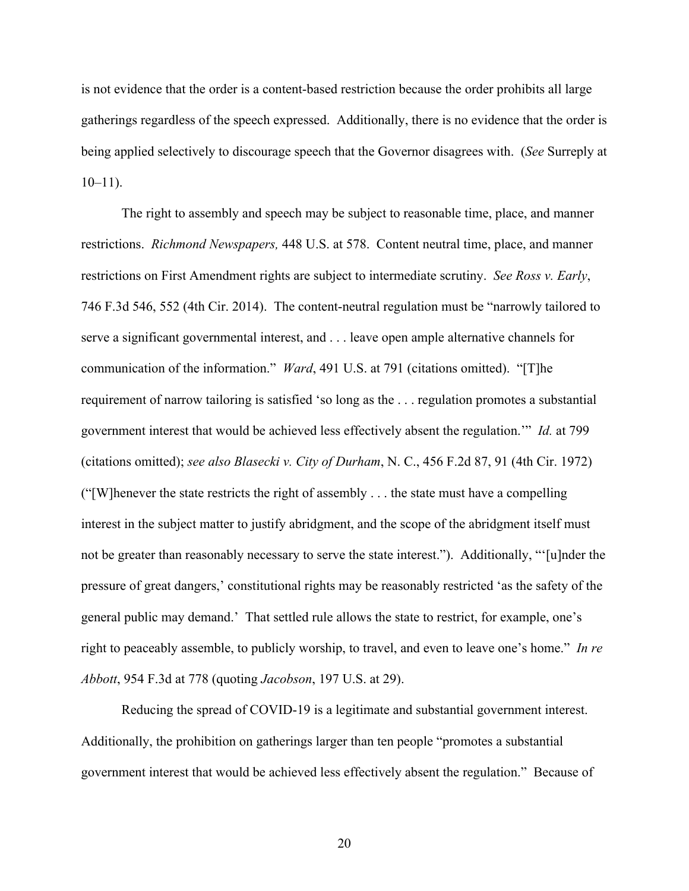is not evidence that the order is a content-based restriction because the order prohibits all large gatherings regardless of the speech expressed. Additionally, there is no evidence that the order is being applied selectively to discourage speech that the Governor disagrees with. (*See* Surreply at  $10-11$ ).

The right to assembly and speech may be subject to reasonable time, place, and manner restrictions. *Richmond Newspapers,* 448 U.S. at 578. Content neutral time, place, and manner restrictions on First Amendment rights are subject to intermediate scrutiny. *See Ross v. Early*, 746 F.3d 546, 552 (4th Cir. 2014). The content-neutral regulation must be "narrowly tailored to serve a significant governmental interest, and . . . leave open ample alternative channels for communication of the information." *Ward*, 491 U.S. at 791 (citations omitted). "[T]he requirement of narrow tailoring is satisfied 'so long as the . . . regulation promotes a substantial government interest that would be achieved less effectively absent the regulation.'" *Id.* at 799 (citations omitted); *see also Blasecki v. City of Durham*, N. C., 456 F.2d 87, 91 (4th Cir. 1972)  $('`[W]$ henever the state restricts the right of assembly  $\ldots$  the state must have a compelling interest in the subject matter to justify abridgment, and the scope of the abridgment itself must not be greater than reasonably necessary to serve the state interest."). Additionally, "'[u]nder the pressure of great dangers,' constitutional rights may be reasonably restricted 'as the safety of the general public may demand.' That settled rule allows the state to restrict, for example, one's right to peaceably assemble, to publicly worship, to travel, and even to leave one's home." *In re Abbott*, 954 F.3d at 778 (quoting *Jacobson*, 197 U.S. at 29).

Reducing the spread of COVID-19 is a legitimate and substantial government interest. Additionally, the prohibition on gatherings larger than ten people "promotes a substantial government interest that would be achieved less effectively absent the regulation." Because of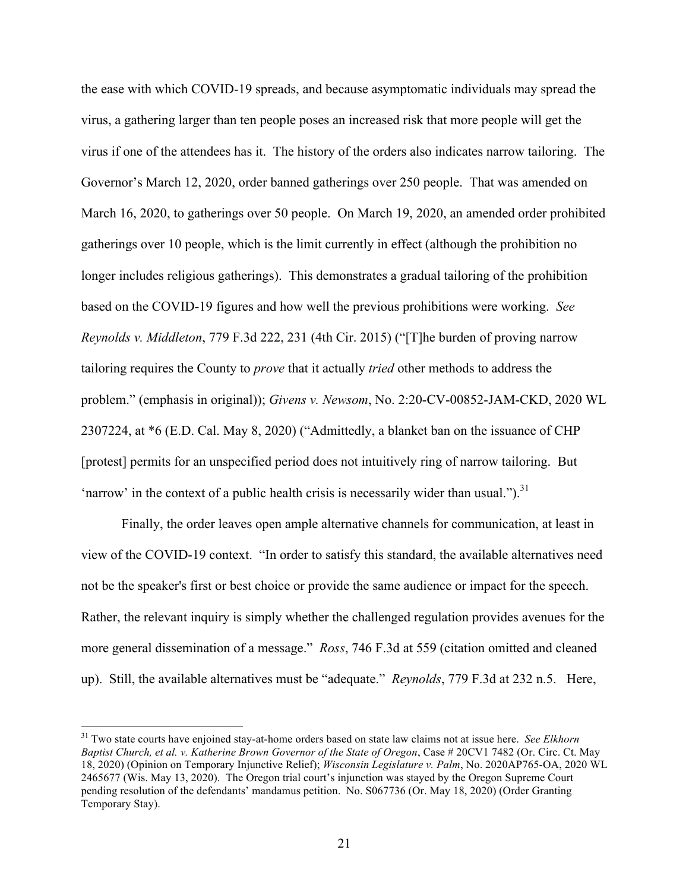the ease with which COVID-19 spreads, and because asymptomatic individuals may spread the virus, a gathering larger than ten people poses an increased risk that more people will get the virus if one of the attendees has it. The history of the orders also indicates narrow tailoring. The Governor's March 12, 2020, order banned gatherings over 250 people. That was amended on March 16, 2020, to gatherings over 50 people. On March 19, 2020, an amended order prohibited gatherings over 10 people, which is the limit currently in effect (although the prohibition no longer includes religious gatherings). This demonstrates a gradual tailoring of the prohibition based on the COVID-19 figures and how well the previous prohibitions were working. *See Reynolds v. Middleton*, 779 F.3d 222, 231 (4th Cir. 2015) ("[T]he burden of proving narrow tailoring requires the County to *prove* that it actually *tried* other methods to address the problem." (emphasis in original)); *Givens v. Newsom*, No. 2:20-CV-00852-JAM-CKD, 2020 WL 2307224, at \*6 (E.D. Cal. May 8, 2020) ("Admittedly, a blanket ban on the issuance of CHP [protest] permits for an unspecified period does not intuitively ring of narrow tailoring. But 'narrow' in the context of a public health crisis is necessarily wider than usual." $b^{31}$ 

Finally, the order leaves open ample alternative channels for communication, at least in view of the COVID-19 context. "In order to satisfy this standard, the available alternatives need not be the speaker's first or best choice or provide the same audience or impact for the speech. Rather, the relevant inquiry is simply whether the challenged regulation provides avenues for the more general dissemination of a message." *Ross*, 746 F.3d at 559 (citation omitted and cleaned up). Still, the available alternatives must be "adequate." *Reynolds*, 779 F.3d at 232 n.5. Here,

 31 Two state courts have enjoined stay-at-home orders based on state law claims not at issue here. *See Elkhorn Baptist Church, et al. v. Katherine Brown Governor of the State of Oregon*, Case # 20CV1 7482 (Or. Circ. Ct. May 18, 2020) (Opinion on Temporary Injunctive Relief); *Wisconsin Legislature v. Palm*, No. 2020AP765-OA, 2020 WL 2465677 (Wis. May 13, 2020). The Oregon trial court's injunction was stayed by the Oregon Supreme Court pending resolution of the defendants' mandamus petition. No. S067736 (Or. May 18, 2020) (Order Granting Temporary Stay).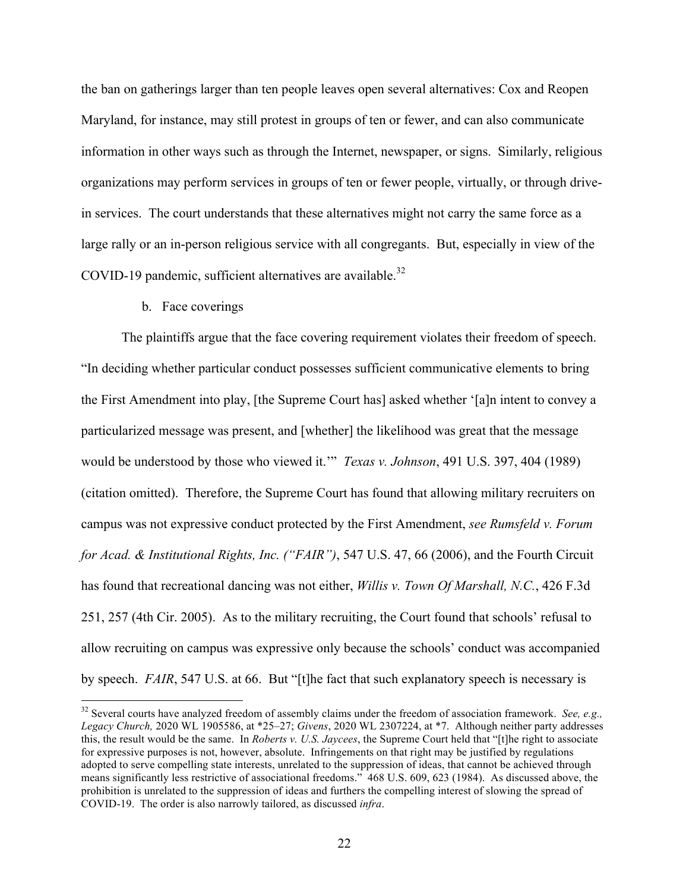the ban on gatherings larger than ten people leaves open several alternatives: Cox and Reopen Maryland, for instance, may still protest in groups of ten or fewer, and can also communicate information in other ways such as through the Internet, newspaper, or signs. Similarly, religious organizations may perform services in groups of ten or fewer people, virtually, or through drivein services. The court understands that these alternatives might not carry the same force as a large rally or an in-person religious service with all congregants. But, especially in view of the COVID-19 pandemic, sufficient alternatives are available.<sup>32</sup>

### b. Face coverings

The plaintiffs argue that the face covering requirement violates their freedom of speech. "In deciding whether particular conduct possesses sufficient communicative elements to bring the First Amendment into play, [the Supreme Court has] asked whether '[a]n intent to convey a particularized message was present, and [whether] the likelihood was great that the message would be understood by those who viewed it.'" *Texas v. Johnson*, 491 U.S. 397, 404 (1989) (citation omitted). Therefore, the Supreme Court has found that allowing military recruiters on campus was not expressive conduct protected by the First Amendment, *see Rumsfeld v. Forum for Acad. & Institutional Rights, Inc. ("FAIR")*, 547 U.S. 47, 66 (2006), and the Fourth Circuit has found that recreational dancing was not either, *Willis v. Town Of Marshall, N.C.*, 426 F.3d 251, 257 (4th Cir. 2005). As to the military recruiting, the Court found that schools' refusal to allow recruiting on campus was expressive only because the schools' conduct was accompanied by speech. *FAIR*, 547 U.S. at 66. But "[t]he fact that such explanatory speech is necessary is

 32 Several courts have analyzed freedom of assembly claims under the freedom of association framework. *See, e.g., Legacy Church,* 2020 WL 1905586, at \*25–27; *Givens*, 2020 WL 2307224, at \*7. Although neither party addresses this, the result would be the same. In *Roberts v. U.S. Jaycees*, the Supreme Court held that "[t]he right to associate for expressive purposes is not, however, absolute. Infringements on that right may be justified by regulations adopted to serve compelling state interests, unrelated to the suppression of ideas, that cannot be achieved through means significantly less restrictive of associational freedoms." 468 U.S. 609, 623 (1984). As discussed above, the prohibition is unrelated to the suppression of ideas and furthers the compelling interest of slowing the spread of COVID-19. The order is also narrowly tailored, as discussed *infra*.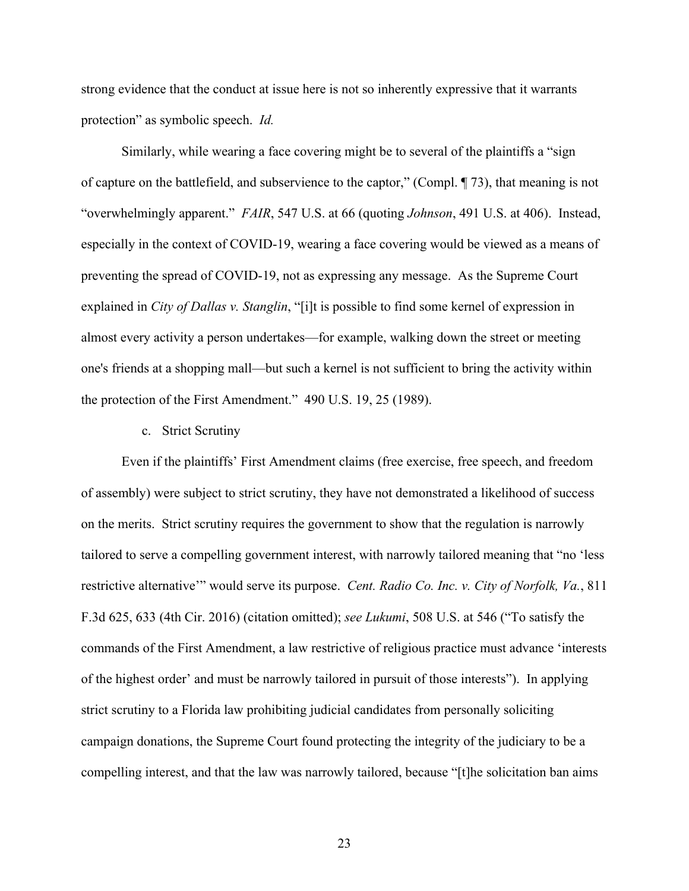strong evidence that the conduct at issue here is not so inherently expressive that it warrants protection" as symbolic speech. *Id.* 

Similarly, while wearing a face covering might be to several of the plaintiffs a "sign of capture on the battlefield, and subservience to the captor," (Compl. ¶ 73), that meaning is not "overwhelmingly apparent." *FAIR*, 547 U.S. at 66 (quoting *Johnson*, 491 U.S. at 406). Instead, especially in the context of COVID-19, wearing a face covering would be viewed as a means of preventing the spread of COVID-19, not as expressing any message. As the Supreme Court explained in *City of Dallas v. Stanglin*, "[i]t is possible to find some kernel of expression in almost every activity a person undertakes—for example, walking down the street or meeting one's friends at a shopping mall—but such a kernel is not sufficient to bring the activity within the protection of the First Amendment." 490 U.S. 19, 25 (1989).

### c. Strict Scrutiny

Even if the plaintiffs' First Amendment claims (free exercise, free speech, and freedom of assembly) were subject to strict scrutiny, they have not demonstrated a likelihood of success on the merits. Strict scrutiny requires the government to show that the regulation is narrowly tailored to serve a compelling government interest, with narrowly tailored meaning that "no 'less restrictive alternative'" would serve its purpose. *Cent. Radio Co. Inc. v. City of Norfolk, Va.*, 811 F.3d 625, 633 (4th Cir. 2016) (citation omitted); *see Lukumi*, 508 U.S. at 546 ("To satisfy the commands of the First Amendment, a law restrictive of religious practice must advance 'interests of the highest order' and must be narrowly tailored in pursuit of those interests"). In applying strict scrutiny to a Florida law prohibiting judicial candidates from personally soliciting campaign donations, the Supreme Court found protecting the integrity of the judiciary to be a compelling interest, and that the law was narrowly tailored, because "[t]he solicitation ban aims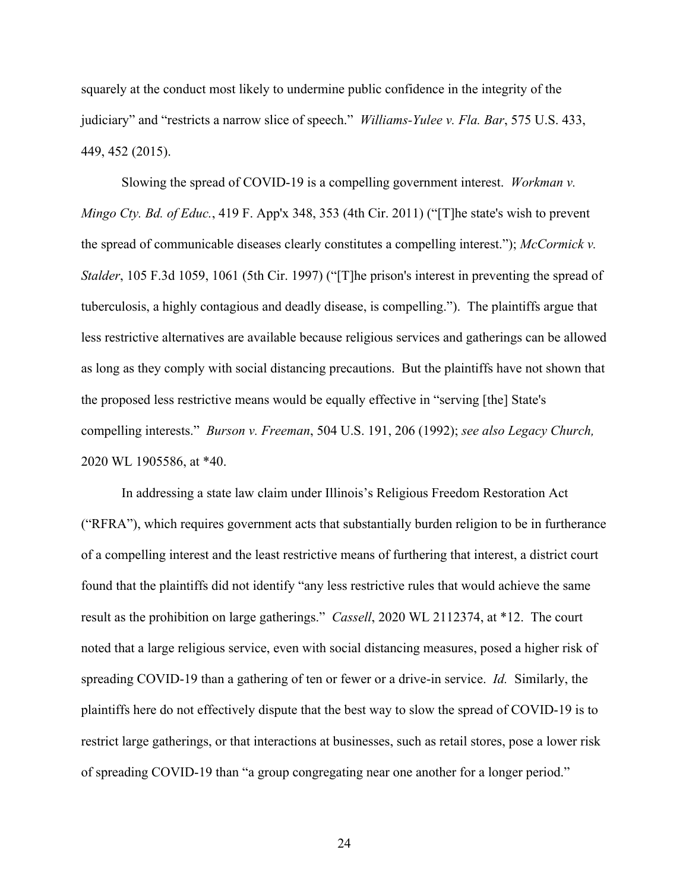squarely at the conduct most likely to undermine public confidence in the integrity of the judiciary" and "restricts a narrow slice of speech." *Williams-Yulee v. Fla. Bar*, 575 U.S. 433, 449, 452 (2015).

Slowing the spread of COVID-19 is a compelling government interest. *Workman v. Mingo Cty. Bd. of Educ.*, 419 F. App'x 348, 353 (4th Cir. 2011) ("[T]he state's wish to prevent the spread of communicable diseases clearly constitutes a compelling interest."); *McCormick v. Stalder*, 105 F.3d 1059, 1061 (5th Cir. 1997) ("[T]he prison's interest in preventing the spread of tuberculosis, a highly contagious and deadly disease, is compelling."). The plaintiffs argue that less restrictive alternatives are available because religious services and gatherings can be allowed as long as they comply with social distancing precautions. But the plaintiffs have not shown that the proposed less restrictive means would be equally effective in "serving [the] State's compelling interests." *Burson v. Freeman*, 504 U.S. 191, 206 (1992); *see also Legacy Church,* 2020 WL 1905586, at \*40.

In addressing a state law claim under Illinois's Religious Freedom Restoration Act ("RFRA"), which requires government acts that substantially burden religion to be in furtherance of a compelling interest and the least restrictive means of furthering that interest, a district court found that the plaintiffs did not identify "any less restrictive rules that would achieve the same result as the prohibition on large gatherings." *Cassell*, 2020 WL 2112374, at \*12. The court noted that a large religious service, even with social distancing measures, posed a higher risk of spreading COVID-19 than a gathering of ten or fewer or a drive-in service. *Id.* Similarly, the plaintiffs here do not effectively dispute that the best way to slow the spread of COVID-19 is to restrict large gatherings, or that interactions at businesses, such as retail stores, pose a lower risk of spreading COVID-19 than "a group congregating near one another for a longer period."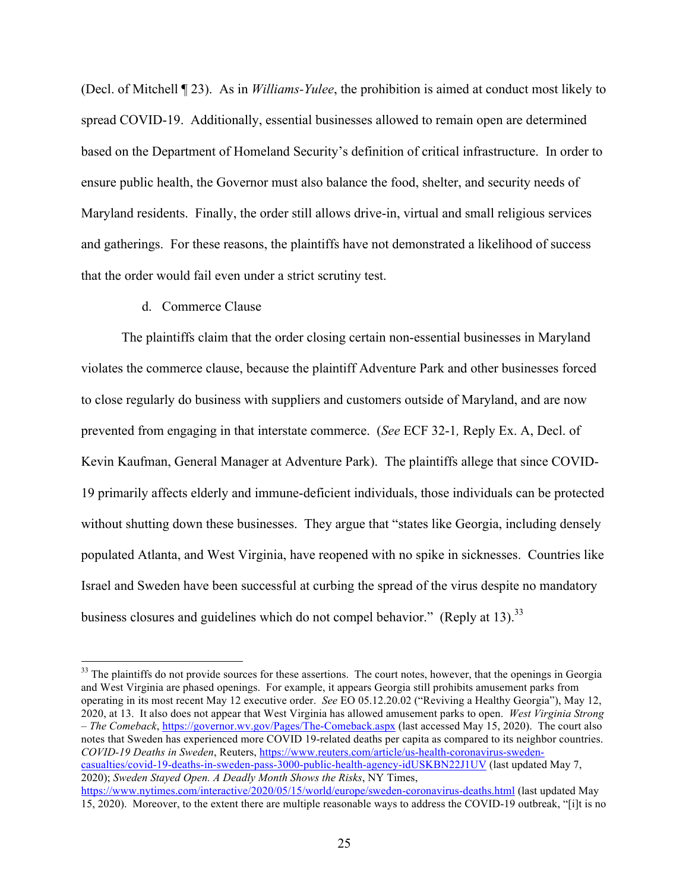(Decl. of Mitchell ¶ 23). As in *Williams-Yulee*, the prohibition is aimed at conduct most likely to spread COVID-19. Additionally, essential businesses allowed to remain open are determined based on the Department of Homeland Security's definition of critical infrastructure. In order to ensure public health, the Governor must also balance the food, shelter, and security needs of Maryland residents. Finally, the order still allows drive-in, virtual and small religious services and gatherings. For these reasons, the plaintiffs have not demonstrated a likelihood of success that the order would fail even under a strict scrutiny test.

### d. Commerce Clause

The plaintiffs claim that the order closing certain non-essential businesses in Maryland violates the commerce clause, because the plaintiff Adventure Park and other businesses forced to close regularly do business with suppliers and customers outside of Maryland, and are now prevented from engaging in that interstate commerce. (*See* ECF 32-1*,* Reply Ex. A, Decl. of Kevin Kaufman, General Manager at Adventure Park). The plaintiffs allege that since COVID-19 primarily affects elderly and immune-deficient individuals, those individuals can be protected without shutting down these businesses. They argue that "states like Georgia, including densely populated Atlanta, and West Virginia, have reopened with no spike in sicknesses. Countries like Israel and Sweden have been successful at curbing the spread of the virus despite no mandatory business closures and guidelines which do not compel behavior." (Reply at 13).<sup>33</sup>

<sup>&</sup>lt;sup>33</sup> The plaintiffs do not provide sources for these assertions. The court notes, however, that the openings in Georgia and West Virginia are phased openings. For example, it appears Georgia still prohibits amusement parks from operating in its most recent May 12 executive order. *See* EO 05.12.20.02 ("Reviving a Healthy Georgia"), May 12, 2020, at 13. It also does not appear that West Virginia has allowed amusement parks to open. *West Virginia Strong – The Comeback*, https://governor.wv.gov/Pages/The-Comeback.aspx (last accessed May 15, 2020). The court also notes that Sweden has experienced more COVID 19-related deaths per capita as compared to its neighbor countries. *COVID-19 Deaths in Sweden*, Reuters, https://www.reuters.com/article/us-health-coronavirus-swedencasualties/covid-19-deaths-in-sweden-pass-3000-public-health-agency-idUSKBN22J1UV (last updated May 7, 2020); *Sweden Stayed Open. A Deadly Month Shows the Risks*, NY Times, https://www.nytimes.com/interactive/2020/05/15/world/europe/sweden-coronavirus-deaths.html (last updated May

<sup>15, 2020).</sup> Moreover, to the extent there are multiple reasonable ways to address the COVID-19 outbreak, "[i]t is no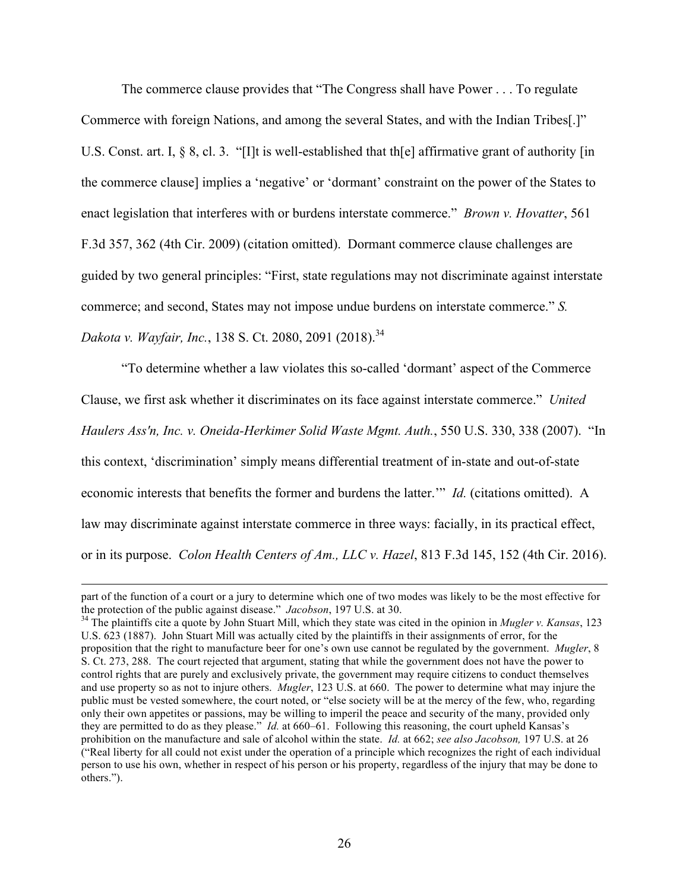The commerce clause provides that "The Congress shall have Power . . . To regulate Commerce with foreign Nations, and among the several States, and with the Indian Tribes[.]" U.S. Const. art. I, § 8, cl. 3. "[I]t is well-established that th[e] affirmative grant of authority [in the commerce clause] implies a 'negative' or 'dormant' constraint on the power of the States to enact legislation that interferes with or burdens interstate commerce." *Brown v. Hovatter*, 561 F.3d 357, 362 (4th Cir. 2009) (citation omitted). Dormant commerce clause challenges are guided by two general principles: "First, state regulations may not discriminate against interstate commerce; and second, States may not impose undue burdens on interstate commerce." *S. Dakota v. Wayfair, Inc.*, 138 S. Ct. 2080, 2091 (2018). 34

"To determine whether a law violates this so-called 'dormant' aspect of the Commerce Clause, we first ask whether it discriminates on its face against interstate commerce." *United Haulers Ass'n, Inc. v. Oneida-Herkimer Solid Waste Mgmt. Auth.*, 550 U.S. 330, 338 (2007). "In this context, 'discrimination' simply means differential treatment of in-state and out-of-state economic interests that benefits the former and burdens the latter.'" *Id.* (citations omitted). A law may discriminate against interstate commerce in three ways: facially, in its practical effect, or in its purpose. *Colon Health Centers of Am., LLC v. Hazel*, 813 F.3d 145, 152 (4th Cir. 2016).

<sup>&</sup>lt;u> 1989 - Andrea Santa Andrea Santa Andrea Santa Andrea Santa Andrea Santa Andrea Santa Andrea Santa Andrea San</u> part of the function of a court or a jury to determine which one of two modes was likely to be the most effective for the protection of the public against disease." *Jacobson*, 197 U.S. at 30. 34 The plaintiffs cite a quote by John Stuart Mill, which they state was cited in the opinion in *Mugler v. Kansas*, 123

U.S. 623 (1887). John Stuart Mill was actually cited by the plaintiffs in their assignments of error, for the proposition that the right to manufacture beer for one's own use cannot be regulated by the government. *Mugler*, 8 S. Ct. 273, 288. The court rejected that argument, stating that while the government does not have the power to control rights that are purely and exclusively private, the government may require citizens to conduct themselves and use property so as not to injure others. *Mugler*, 123 U.S. at 660. The power to determine what may injure the public must be vested somewhere, the court noted, or "else society will be at the mercy of the few, who, regarding only their own appetites or passions, may be willing to imperil the peace and security of the many, provided only they are permitted to do as they please." *Id.* at 660–61. Following this reasoning, the court upheld Kansas's prohibition on the manufacture and sale of alcohol within the state. *Id.* at 662; *see also Jacobson,* 197 U.S. at 26 ("Real liberty for all could not exist under the operation of a principle which recognizes the right of each individual person to use his own, whether in respect of his person or his property, regardless of the injury that may be done to others.").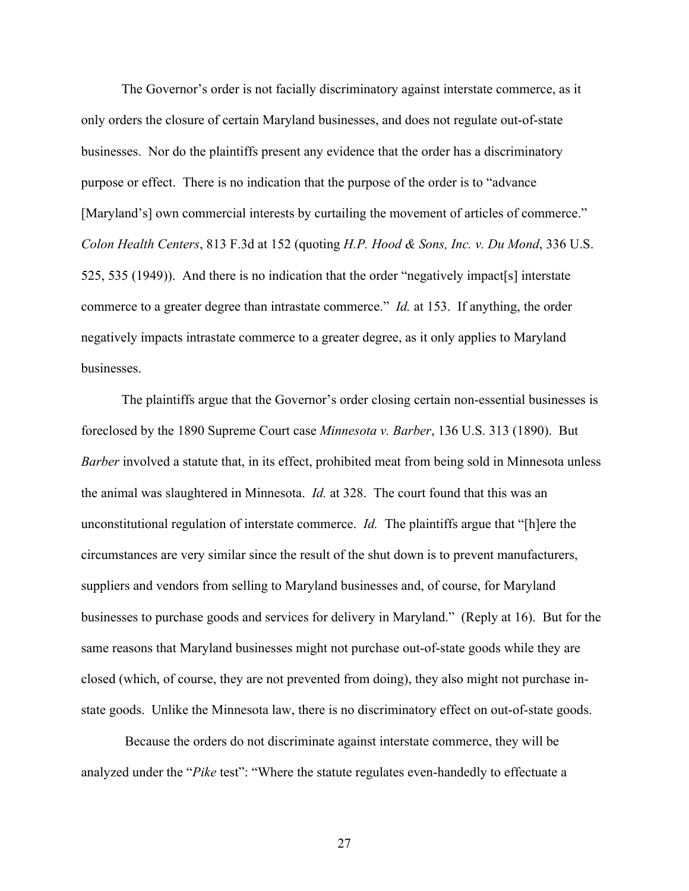The Governor's order is not facially discriminatory against interstate commerce, as it only orders the closure of certain Maryland businesses, and does not regulate out-of-state businesses. Nor do the plaintiffs present any evidence that the order has a discriminatory purpose or effect. There is no indication that the purpose of the order is to "advance [Maryland's] own commercial interests by curtailing the movement of articles of commerce." *Colon Health Centers*, 813 F.3d at 152 (quoting *H.P. Hood & Sons, Inc. v. Du Mond*, 336 U.S. 525, 535 (1949)). And there is no indication that the order "negatively impact[s] interstate commerce to a greater degree than intrastate commerce." *Id.* at 153. If anything, the order negatively impacts intrastate commerce to a greater degree, as it only applies to Maryland businesses.

The plaintiffs argue that the Governor's order closing certain non-essential businesses is foreclosed by the 1890 Supreme Court case *Minnesota v. Barber*, 136 U.S. 313 (1890). But *Barber* involved a statute that, in its effect, prohibited meat from being sold in Minnesota unless the animal was slaughtered in Minnesota. *Id.* at 328. The court found that this was an unconstitutional regulation of interstate commerce. *Id.* The plaintiffs argue that "[h]ere the circumstances are very similar since the result of the shut down is to prevent manufacturers, suppliers and vendors from selling to Maryland businesses and, of course, for Maryland businesses to purchase goods and services for delivery in Maryland." (Reply at 16). But for the same reasons that Maryland businesses might not purchase out-of-state goods while they are closed (which, of course, they are not prevented from doing), they also might not purchase instate goods. Unlike the Minnesota law, there is no discriminatory effect on out-of-state goods.

Because the orders do not discriminate against interstate commerce, they will be analyzed under the "*Pike* test": "Where the statute regulates even-handedly to effectuate a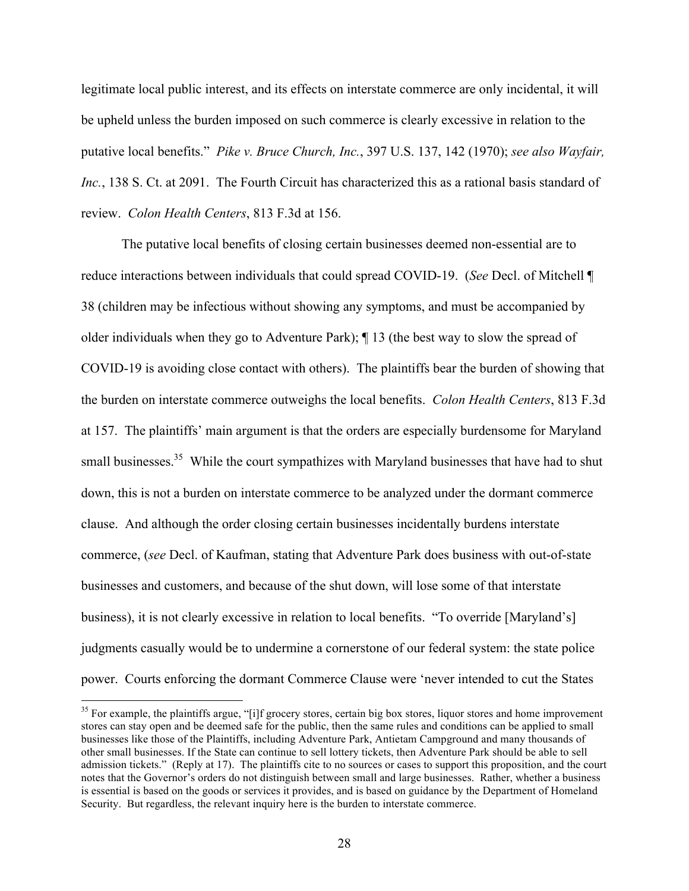legitimate local public interest, and its effects on interstate commerce are only incidental, it will be upheld unless the burden imposed on such commerce is clearly excessive in relation to the putative local benefits." *Pike v. Bruce Church, Inc.*, 397 U.S. 137, 142 (1970); *see also Wayfair, Inc.*, 138 S. Ct. at 2091. The Fourth Circuit has characterized this as a rational basis standard of review. *Colon Health Centers*, 813 F.3d at 156.

The putative local benefits of closing certain businesses deemed non-essential are to reduce interactions between individuals that could spread COVID-19. (*See* Decl. of Mitchell ¶ 38 (children may be infectious without showing any symptoms, and must be accompanied by older individuals when they go to Adventure Park); ¶ 13 (the best way to slow the spread of COVID-19 is avoiding close contact with others). The plaintiffs bear the burden of showing that the burden on interstate commerce outweighs the local benefits. *Colon Health Centers*, 813 F.3d at 157. The plaintiffs' main argument is that the orders are especially burdensome for Maryland small businesses.<sup>35</sup> While the court sympathizes with Maryland businesses that have had to shut down, this is not a burden on interstate commerce to be analyzed under the dormant commerce clause. And although the order closing certain businesses incidentally burdens interstate commerce, (*see* Decl. of Kaufman, stating that Adventure Park does business with out-of-state businesses and customers, and because of the shut down, will lose some of that interstate business), it is not clearly excessive in relation to local benefits. "To override [Maryland's] judgments casually would be to undermine a cornerstone of our federal system: the state police power. Courts enforcing the dormant Commerce Clause were 'never intended to cut the States

<sup>&</sup>lt;sup>35</sup> For example, the plaintiffs argue, "[i]f grocery stores, certain big box stores, liquor stores and home improvement stores can stay open and be deemed safe for the public, then the same rules and conditions can be applied to small businesses like those of the Plaintiffs, including Adventure Park, Antietam Campground and many thousands of other small businesses. If the State can continue to sell lottery tickets, then Adventure Park should be able to sell admission tickets." (Reply at 17). The plaintiffs cite to no sources or cases to support this proposition, and the court notes that the Governor's orders do not distinguish between small and large businesses. Rather, whether a business is essential is based on the goods or services it provides, and is based on guidance by the Department of Homeland Security. But regardless, the relevant inquiry here is the burden to interstate commerce.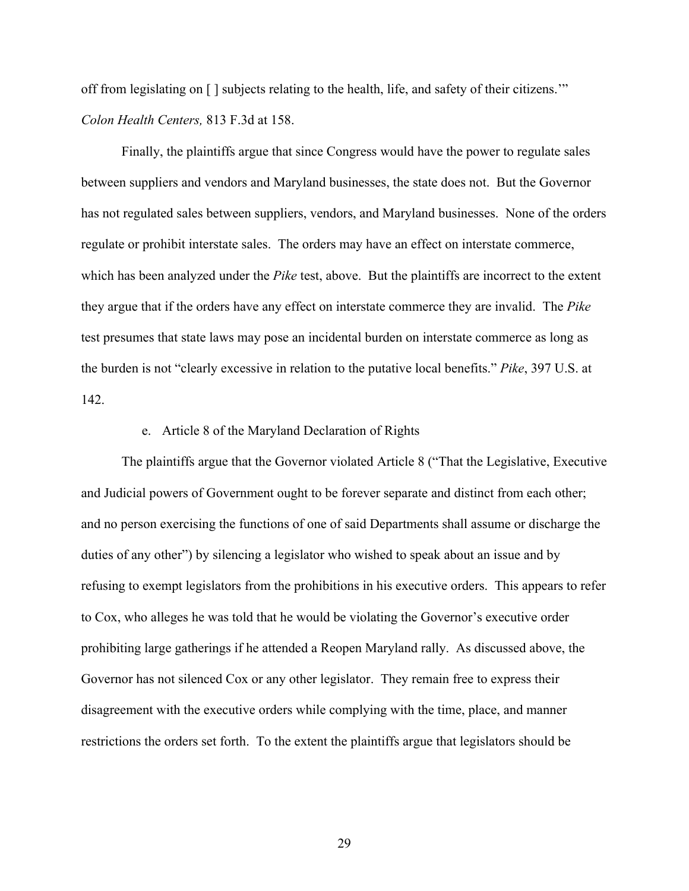off from legislating on [ ] subjects relating to the health, life, and safety of their citizens.'" *Colon Health Centers,* 813 F.3d at 158.

Finally, the plaintiffs argue that since Congress would have the power to regulate sales between suppliers and vendors and Maryland businesses, the state does not. But the Governor has not regulated sales between suppliers, vendors, and Maryland businesses. None of the orders regulate or prohibit interstate sales. The orders may have an effect on interstate commerce, which has been analyzed under the *Pike* test, above. But the plaintiffs are incorrect to the extent they argue that if the orders have any effect on interstate commerce they are invalid. The *Pike*  test presumes that state laws may pose an incidental burden on interstate commerce as long as the burden is not "clearly excessive in relation to the putative local benefits." *Pike*, 397 U.S. at 142.

### e. Article 8 of the Maryland Declaration of Rights

The plaintiffs argue that the Governor violated Article 8 ("That the Legislative, Executive and Judicial powers of Government ought to be forever separate and distinct from each other; and no person exercising the functions of one of said Departments shall assume or discharge the duties of any other") by silencing a legislator who wished to speak about an issue and by refusing to exempt legislators from the prohibitions in his executive orders. This appears to refer to Cox, who alleges he was told that he would be violating the Governor's executive order prohibiting large gatherings if he attended a Reopen Maryland rally. As discussed above, the Governor has not silenced Cox or any other legislator. They remain free to express their disagreement with the executive orders while complying with the time, place, and manner restrictions the orders set forth. To the extent the plaintiffs argue that legislators should be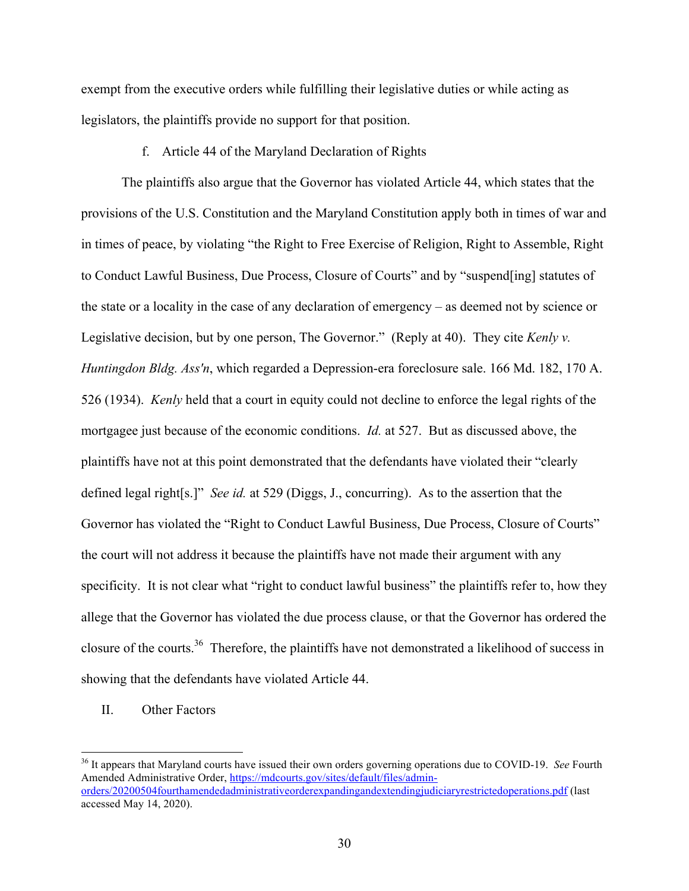exempt from the executive orders while fulfilling their legislative duties or while acting as legislators, the plaintiffs provide no support for that position.

### f. Article 44 of the Maryland Declaration of Rights

The plaintiffs also argue that the Governor has violated Article 44, which states that the provisions of the U.S. Constitution and the Maryland Constitution apply both in times of war and in times of peace, by violating "the Right to Free Exercise of Religion, Right to Assemble, Right to Conduct Lawful Business, Due Process, Closure of Courts" and by "suspend[ing] statutes of the state or a locality in the case of any declaration of emergency – as deemed not by science or Legislative decision, but by one person, The Governor." (Reply at 40). They cite *Kenly v. Huntingdon Bldg. Ass'n*, which regarded a Depression-era foreclosure sale. 166 Md. 182, 170 A. 526 (1934). *Kenly* held that a court in equity could not decline to enforce the legal rights of the mortgagee just because of the economic conditions. *Id.* at 527. But as discussed above, the plaintiffs have not at this point demonstrated that the defendants have violated their "clearly defined legal right[s.]" *See id.* at 529 (Diggs, J., concurring). As to the assertion that the Governor has violated the "Right to Conduct Lawful Business, Due Process, Closure of Courts" the court will not address it because the plaintiffs have not made their argument with any specificity. It is not clear what "right to conduct lawful business" the plaintiffs refer to, how they allege that the Governor has violated the due process clause, or that the Governor has ordered the closure of the courts.<sup>36</sup> Therefore, the plaintiffs have not demonstrated a likelihood of success in showing that the defendants have violated Article 44.

# II. Other Factors

 36 It appears that Maryland courts have issued their own orders governing operations due to COVID-19. *See* Fourth Amended Administrative Order, https://mdcourts.gov/sites/default/files/adminorders/20200504fourthamendedadministrativeorderexpandingandextendingjudiciaryrestrictedoperations.pdf (last accessed May 14, 2020).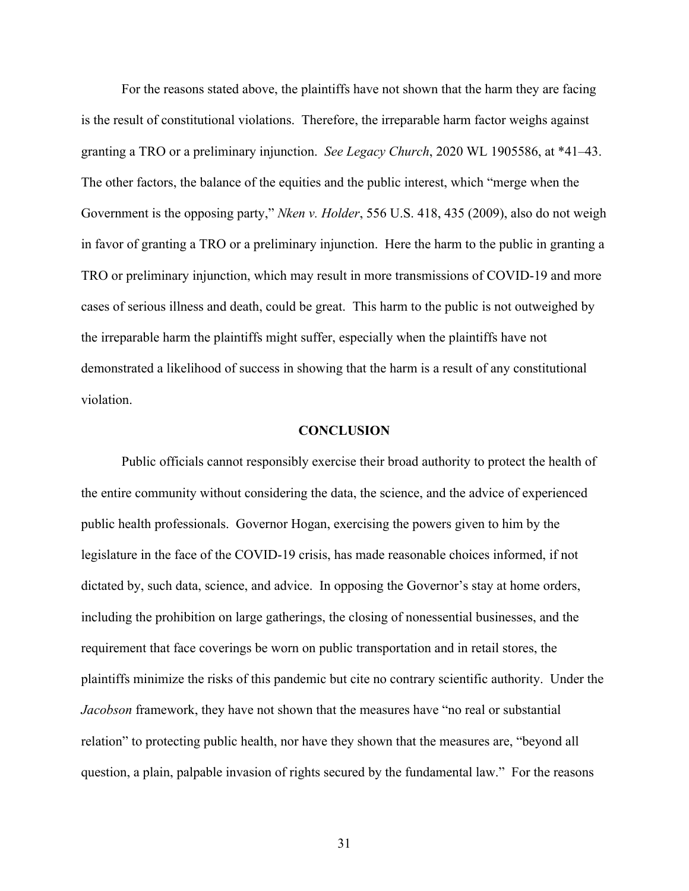For the reasons stated above, the plaintiffs have not shown that the harm they are facing is the result of constitutional violations. Therefore, the irreparable harm factor weighs against granting a TRO or a preliminary injunction. *See Legacy Church*, 2020 WL 1905586, at \*41–43. The other factors, the balance of the equities and the public interest, which "merge when the Government is the opposing party," *Nken v. Holder*, 556 U.S. 418, 435 (2009), also do not weigh in favor of granting a TRO or a preliminary injunction. Here the harm to the public in granting a TRO or preliminary injunction, which may result in more transmissions of COVID-19 and more cases of serious illness and death, could be great. This harm to the public is not outweighed by the irreparable harm the plaintiffs might suffer, especially when the plaintiffs have not demonstrated a likelihood of success in showing that the harm is a result of any constitutional violation.

### **CONCLUSION**

Public officials cannot responsibly exercise their broad authority to protect the health of the entire community without considering the data, the science, and the advice of experienced public health professionals. Governor Hogan, exercising the powers given to him by the legislature in the face of the COVID-19 crisis, has made reasonable choices informed, if not dictated by, such data, science, and advice. In opposing the Governor's stay at home orders, including the prohibition on large gatherings, the closing of nonessential businesses, and the requirement that face coverings be worn on public transportation and in retail stores, the plaintiffs minimize the risks of this pandemic but cite no contrary scientific authority. Under the *Jacobson* framework, they have not shown that the measures have "no real or substantial relation" to protecting public health, nor have they shown that the measures are, "beyond all question, a plain, palpable invasion of rights secured by the fundamental law." For the reasons